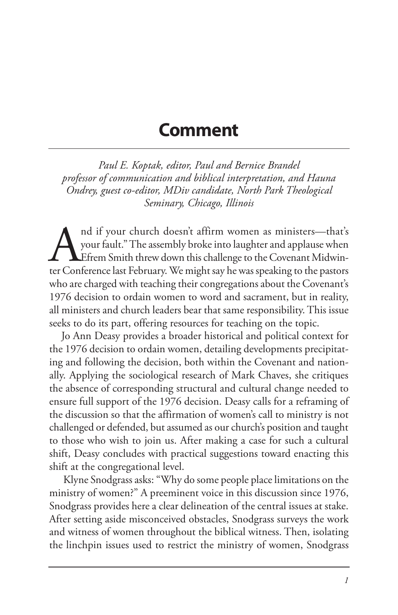## **Comment**

*Paul E. Koptak, editor, Paul and Bernice Brandel professor of communication and biblical interpretation, and Hauna Ondrey, guest co-editor, MDiv candidate, North Park Theological Seminary, Chicago, Illinois*

Aud if your church doesn't affirm women as ministers—that's your fault." The assembly broke into laughter and applause when the Corenant Midwinter Conference last February. We might say he was speaking to the pastors your fault." The assembly broke into laughter and applause when Efrem Smith threw down this challenge to the Covenant Midwinter Conference last February. We might say he was speaking to the pastors who are charged with teaching their congregations about the Covenant's 1976 decision to ordain women to word and sacrament, but in reality, all ministers and church leaders bear that same responsibility. This issue seeks to do its part, offering resources for teaching on the topic.

Jo Ann Deasy provides a broader historical and political context for the 1976 decision to ordain women, detailing developments precipitating and following the decision, both within the Covenant and nationally. Applying the sociological research of Mark Chaves, she critiques the absence of corresponding structural and cultural change needed to ensure full support of the 1976 decision. Deasy calls for a reframing of the discussion so that the affirmation of women's call to ministry is not challenged or defended, but assumed as our church's position and taught to those who wish to join us. After making a case for such a cultural shift, Deasy concludes with practical suggestions toward enacting this shift at the congregational level.

 Klyne Snodgrass asks: "Why do some people place limitations on the ministry of women?" A preeminent voice in this discussion since 1976, Snodgrass provides here a clear delineation of the central issues at stake. After setting aside misconceived obstacles, Snodgrass surveys the work and witness of women throughout the biblical witness. Then, isolating the linchpin issues used to restrict the ministry of women, Snodgrass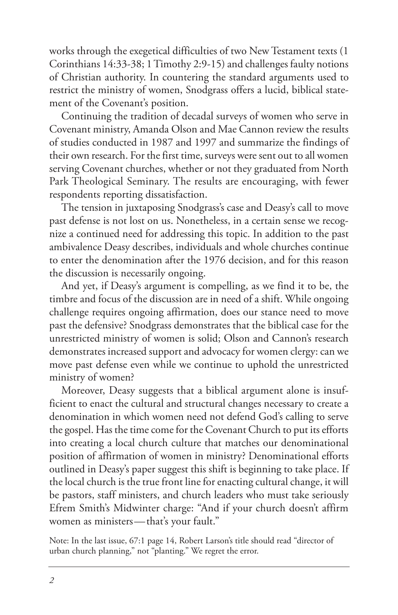works through the exegetical difficulties of two New Testament texts (1 Corinthians 14:33-38; 1Timothy 2:9-15) and challenges faulty notions of Christian authority. In countering the standard arguments used to restrict the ministry of women, Snodgrass offers a lucid, biblical statement of the Covenant's position.

Continuing the tradition of decadal surveys of women who serve in Covenant ministry, Amanda Olson and Mae Cannon review the results of studies conducted in 1987 and 1997 and summarize the findings of their own research. For the first time, surveys were sent out to all women serving Covenant churches, whether or not they graduated from North Park Theological Seminary. The results are encouraging, with fewer respondents reporting dissatisfaction.

The tension in juxtaposing Snodgrass's case and Deasy's call to move past defense is not lost on us. Nonetheless, in a certain sense we recognize a continued need for addressing this topic. In addition to the past ambivalence Deasy describes, individuals and whole churches continue to enter the denomination after the 1976 decision, and for this reason the discussion is necessarily ongoing.

And yet, if Deasy's argument is compelling, as we find it to be, the timbre and focus of the discussion are in need of a shift. While ongoing challenge requires ongoing affirmation, does our stance need to move past the defensive? Snodgrass demonstrates that the biblical case for the unrestricted ministry of women is solid; Olson and Cannon's research demonstrates increased support and advocacy for women clergy: can we move past defense even while we continue to uphold the unrestricted ministry of women?

Moreover, Deasy suggests that a biblical argument alone is insufficient to enact the cultural and structural changes necessary to create a denomination in which women need not defend God's calling to serve the gospel. Has the time come for the Covenant Church to put its efforts into creating a local church culture that matches our denominational position of affirmation of women in ministry? Denominational efforts outlined in Deasy's paper suggest this shift is beginning to take place. If the local church is the true front line for enacting cultural change, it will be pastors, staff ministers, and church leaders who must take seriously Efrem Smith's Midwinter charge: "And if your church doesn't affirm women as ministers—that's your fault."

Note: In the last issue, 67:1 page 14, Robert Larson's title should read "director of urban church planning," not "planting." We regret the error.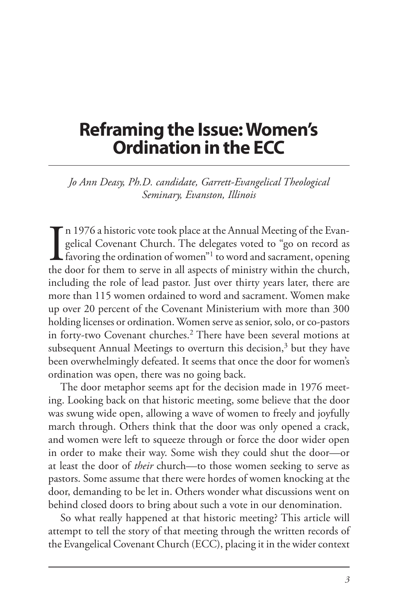## **Reframing the Issue: Women's Ordination in the ECC**

*Jo Ann Deasy, Ph.D. candidate, Garrett-Evangelical Theological Seminary, Evanston, Illinois*

In 1976 a historic vote took place at the Annual Meeting of the Evangelical Covenant Church. The delegates voted to "go on record as favoring the ordination of women"<sup>1</sup> to word and sacrament, opening the door for them to n 1976 a historic vote took place at the Annual Meeting of the Evangelical Covenant Church. The delegates voted to "go on record as  $\blacktriangle$  favoring the ordination of women"<sup>1</sup> to word and sacrament, opening including the role of lead pastor. Just over thirty years later, there are more than 115 women ordained to word and sacrament. Women make up over 20 percent of the Covenant Ministerium with more than 300 holding licenses or ordination. Women serve as senior, solo, or co-pastors in forty-two Covenant churches.<sup>2</sup> There have been several motions at subsequent Annual Meetings to overturn this decision, $3$  but they have been overwhelmingly defeated. It seems that once the door for women's ordination was open, there was no going back.

The door metaphor seems apt for the decision made in 1976 meeting. Looking back on that historic meeting, some believe that the door was swung wide open, allowing a wave of women to freely and joyfully march through. Others think that the door was only opened a crack, and women were left to squeeze through or force the door wider open in order to make their way. Some wish they could shut the door—or at least the door of *their* church—to those women seeking to serve as pastors. Some assume that there were hordes of women knocking at the door, demanding to be let in. Others wonder what discussions went on behind closed doors to bring about such a vote in our denomination.

So what really happened at that historic meeting? This article will attempt to tell the story of that meeting through the written records of the Evangelical Covenant Church (ECC), placing it in the wider context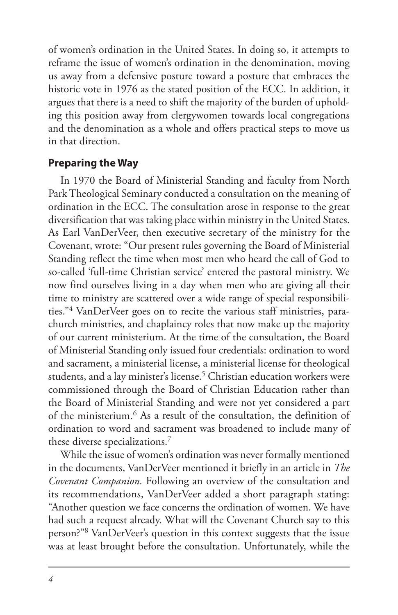of women's ordination in the United States. In doing so, it attempts to reframe the issue of women's ordination in the denomination, moving us away from a defensive posture toward a posture that embraces the historic vote in 1976 as the stated position of the ECC. In addition, it argues that there is a need to shift the majority of the burden of upholding this position away from clergywomen towards local congregations and the denomination as a whole and offers practical steps to move us in that direction.

#### **Preparing the Way**

In 1970 the Board of Ministerial Standing and faculty from North Park Theological Seminary conducted a consultation on the meaning of ordination in the ECC. The consultation arose in response to the great diversification that was taking place within ministry in the United States. As Earl VanDerVeer, then executive secretary of the ministry for the Covenant, wrote: "Our present rules governing the Board of Ministerial Standing reflect the time when most men who heard the call of God to so-called 'full-time Christian service' entered the pastoral ministry. We now find ourselves living in a day when men who are giving all their time to ministry are scattered over a wide range of special responsibilities."4 VanDerVeer goes on to recite the various staff ministries, parachurch ministries, and chaplaincy roles that now make up the majority of our current ministerium. At the time of the consultation, the Board of Ministerial Standing only issued four credentials: ordination to word and sacrament, a ministerial license, a ministerial license for theological students, and a lay minister's license.<sup>5</sup> Christian education workers were commissioned through the Board of Christian Education rather than the Board of Ministerial Standing and were not yet considered a part of the ministerium.6 As a result of the consultation, the definition of ordination to word and sacrament was broadened to include many of these diverse specializations.7

While the issue of women's ordination was never formally mentioned in the documents, VanDerVeer mentioned it briefly in an article in *The Covenant Companion.* Following an overview of the consultation and its recommendations, VanDerVeer added a short paragraph stating: "Another question we face concerns the ordination of women. We have had such a request already. What will the Covenant Church say to this person?"8 VanDerVeer's question in this context suggests that the issue was at least brought before the consultation. Unfortunately, while the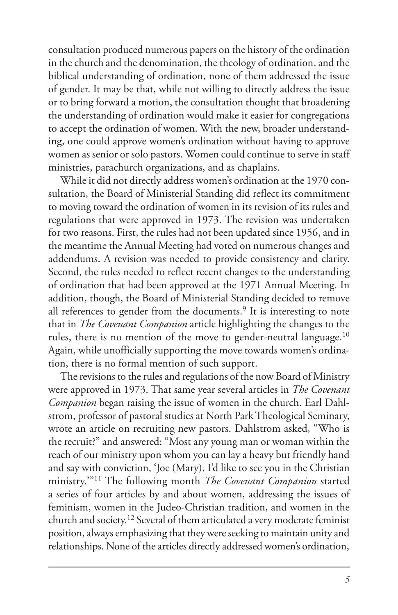consultation produced numerous papers on the history of the ordination in the church and the denomination, the theology of ordination, and the biblical understanding of ordination, none of them addressed the issue of gender. It may be that, while not willing to directly address the issue or to bring forward a motion, the consultation thought that broadening the understanding of ordination would make it easier for congregations to accept the ordination of women. With the new, broader understanding, one could approve women's ordination without having to approve women as senior or solo pastors. Women could continue to serve in staff ministries, parachurch organizations, and as chaplains.

While it did not directly address women's ordination at the 1970 consultation, the Board of Ministerial Standing did reflect its commitment to moving toward the ordination of women in its revision of its rules and regulations that were approved in 1973. The revision was undertaken for two reasons. First, the rules had not been updated since 1956, and in the meantime the Annual Meeting had voted on numerous changes and addendums. A revision was needed to provide consistency and clarity. Second, the rules needed to reflect recent changes to the understanding of ordination that had been approved at the 1971 Annual Meeting. In addition, though, the Board of Ministerial Standing decided to remove all references to gender from the documents.<sup>9</sup> It is interesting to note that in *The Covenant Companion* article highlighting the changes to the rules, there is no mention of the move to gender-neutral language.10 Again, while unofficially supporting the move towards women's ordination, there is no formal mention of such support.

The revisions to the rules and regulations of the now Board of Ministry were approved in 1973. That same year several articles in *The Covenant Companion* began raising the issue of women in the church. Earl Dahlstrom, professor of pastoral studies at North Park Theological Seminary, wrote an article on recruiting new pastors. Dahlstrom asked, "Who is the recruit?" and answered: "Most any young man or woman within the reach of our ministry upon whom you can lay a heavy but friendly hand and say with conviction, 'Joe (Mary), I'd like to see you in the Christian ministry.'"11 The following month *The Covenant Companion* started a series of four articles by and about women, addressing the issues of feminism, women in the Judeo-Christian tradition, and women in the church and society.12 Several of them articulated a very moderate feminist position, always emphasizing that they were seeking to maintain unity and relationships. None of the articles directly addressed women's ordination,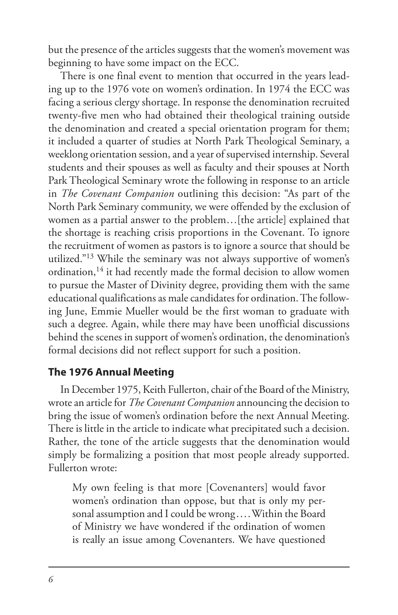but the presence of the articles suggests that the women's movement was beginning to have some impact on the ECC.

There is one final event to mention that occurred in the years leading up to the 1976 vote on women's ordination. In 1974 the ECC was facing a serious clergy shortage. In response the denomination recruited twenty-five men who had obtained their theological training outside the denomination and created a special orientation program for them; it included a quarter of studies at North Park Theological Seminary, a weeklong orientation session, and a year of supervised internship. Several students and their spouses as well as faculty and their spouses at North Park Theological Seminary wrote the following in response to an article in *The Covenant Companion* outlining this decision: "As part of the North Park Seminary community, we were offended by the exclusion of women as a partial answer to the problem…[the article] explained that the shortage is reaching crisis proportions in the Covenant. To ignore the recruitment of women as pastors is to ignore a source that should be utilized."13 While the seminary was not always supportive of women's ordination,<sup>14</sup> it had recently made the formal decision to allow women to pursue the Master of Divinity degree, providing them with the same educational qualifications as male candidates for ordination. The following June, Emmie Mueller would be the first woman to graduate with such a degree. Again, while there may have been unofficial discussions behind the scenes in support of women's ordination, the denomination's formal decisions did not reflect support for such a position.

### **The 1976 Annual Meeting**

In December 1975, Keith Fullerton, chair of the Board of the Ministry, wrote an article for *The Covenant Companion* announcing the decision to bring the issue of women's ordination before the next Annual Meeting. There is little in the article to indicate what precipitated such a decision. Rather, the tone of the article suggests that the denomination would simply be formalizing a position that most people already supported. Fullerton wrote:

My own feeling is that more [Covenanters] would favor women's ordination than oppose, but that is only my personal assumption and I could be wrong.... Within the Board of Ministry we have wondered if the ordination of women is really an issue among Covenanters. We have questioned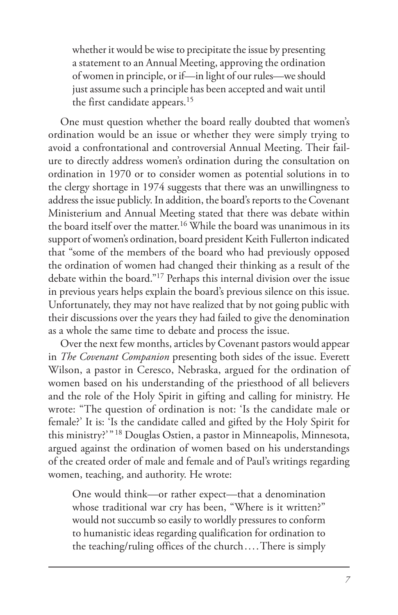whether it would be wise to precipitate the issue by presenting a statement to an Annual Meeting, approving the ordination of women in principle, or if—in light of our rules—we should just assume such a principle has been accepted and wait until the first candidate appears.<sup>15</sup>

One must question whether the board really doubted that women's ordination would be an issue or whether they were simply trying to avoid a confrontational and controversial Annual Meeting. Their failure to directly address women's ordination during the consultation on ordination in 1970 or to consider women as potential solutions in to the clergy shortage in 1974 suggests that there was an unwillingness to address the issue publicly. In addition, the board's reports to the Covenant Ministerium and Annual Meeting stated that there was debate within the board itself over the matter.<sup>16</sup> While the board was unanimous in its support of women's ordination, board president Keith Fullerton indicated that "some of the members of the board who had previously opposed the ordination of women had changed their thinking as a result of the debate within the board."17 Perhaps this internal division over the issue in previous years helps explain the board's previous silence on this issue. Unfortunately, they may not have realized that by not going public with their discussions over the years they had failed to give the denomination as a whole the same time to debate and process the issue.

Over the next few months, articles by Covenant pastors would appear in *The Covenant Companion* presenting both sides of the issue. Everett Wilson, a pastor in Ceresco, Nebraska, argued for the ordination of women based on his understanding of the priesthood of all believers and the role of the Holy Spirit in gifting and calling for ministry. He wrote: "The question of ordination is not: 'Is the candidate male or female?' It is: 'Is the candidate called and gifted by the Holy Spirit for this ministry?'" 18 Douglas Ostien, a pastor in Minneapolis, Minnesota, argued against the ordination of women based on his understandings of the created order of male and female and of Paul's writings regarding women, teaching, and authority. He wrote:

One would think—or rather expect—that a denomination whose traditional war cry has been, "Where is it written?" would not succumb so easily to worldly pressures to conform to humanistic ideas regarding qualification for ordination to the teaching/ruling offices of the church....There is simply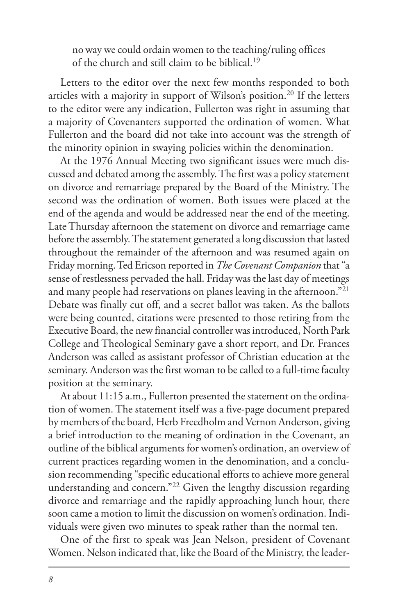no way we could ordain women to the teaching/ruling offices of the church and still claim to be biblical.19

Letters to the editor over the next few months responded to both articles with a majority in support of Wilson's position.<sup>20</sup> If the letters to the editor were any indication, Fullerton was right in assuming that a majority of Covenanters supported the ordination of women. What Fullerton and the board did not take into account was the strength of the minority opinion in swaying policies within the denomination.

At the 1976 Annual Meeting two significant issues were much discussed and debated among the assembly. The first was a policy statement on divorce and remarriage prepared by the Board of the Ministry. The second was the ordination of women. Both issues were placed at the end of the agenda and would be addressed near the end of the meeting. Late Thursday afternoon the statement on divorce and remarriage came before the assembly. The statement generated a long discussion that lasted throughout the remainder of the afternoon and was resumed again on Friday morning. Ted Ericson reported in *The Covenant Companion* that "a sense of restlessness pervaded the hall. Friday was the last day of meetings and many people had reservations on planes leaving in the afternoon."21 Debate was finally cut off, and a secret ballot was taken. As the ballots were being counted, citations were presented to those retiring from the Executive Board, the new financial controller was introduced, North Park College and Theological Seminary gave a short report, and Dr. Frances Anderson was called as assistant professor of Christian education at the seminary. Anderson was the first woman to be called to a full-time faculty position at the seminary.

At about 11:15 a.m., Fullerton presented the statement on the ordination of women. The statement itself was a five-page document prepared by members of the board, Herb Freedholm and Vernon Anderson, giving a brief introduction to the meaning of ordination in the Covenant, an outline of the biblical arguments for women's ordination, an overview of current practices regarding women in the denomination, and a conclusion recommending "specific educational efforts to achieve more general understanding and concern."22 Given the lengthy discussion regarding divorce and remarriage and the rapidly approaching lunch hour, there soon came a motion to limit the discussion on women's ordination. Individuals were given two minutes to speak rather than the normal ten.

One of the first to speak was Jean Nelson, president of Covenant Women. Nelson indicated that, like the Board of the Ministry, the leader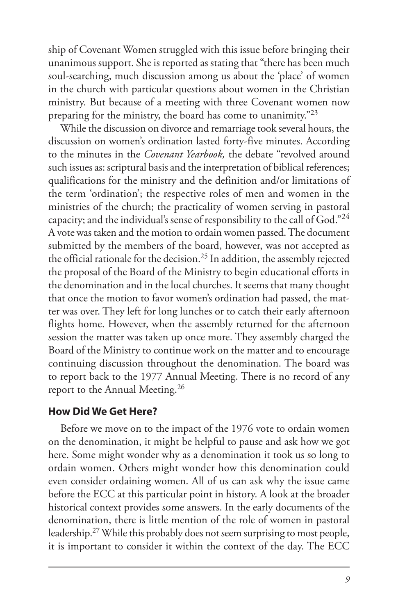ship of Covenant Women struggled with this issue before bringing their unanimous support. She is reported as stating that "there has been much soul-searching, much discussion among us about the 'place' of women in the church with particular questions about women in the Christian ministry. But because of a meeting with three Covenant women now preparing for the ministry, the board has come to unanimity."23

While the discussion on divorce and remarriage took several hours, the discussion on women's ordination lasted forty-five minutes. According to the minutes in the *Covenant Yearbook,* the debate "revolved around such issues as: scriptural basis and the interpretation of biblical references; qualifications for the ministry and the definition and/or limitations of the term 'ordination'; the respective roles of men and women in the ministries of the church; the practicality of women serving in pastoral capacity; and the individual's sense of responsibility to the call of God."<sup>24</sup> A vote was taken and the motion to ordain women passed. The document submitted by the members of the board, however, was not accepted as the official rationale for the decision.25 In addition, the assembly rejected the proposal of the Board of the Ministry to begin educational efforts in the denomination and in the local churches. It seems that many thought that once the motion to favor women's ordination had passed, the matter was over. They left for long lunches or to catch their early afternoon flights home. However, when the assembly returned for the afternoon session the matter was taken up once more. They assembly charged the Board of the Ministry to continue work on the matter and to encourage continuing discussion throughout the denomination. The board was to report back to the 1977 Annual Meeting. There is no record of any report to the Annual Meeting.26

#### **How Did We Get Here?**

Before we move on to the impact of the 1976 vote to ordain women on the denomination, it might be helpful to pause and ask how we got here. Some might wonder why as a denomination it took us so long to ordain women. Others might wonder how this denomination could even consider ordaining women. All of us can ask why the issue came before the ECC at this particular point in history. A look at the broader historical context provides some answers. In the early documents of the denomination, there is little mention of the role of women in pastoral leadership.27 While this probably does not seem surprising to most people, it is important to consider it within the context of the day. The ECC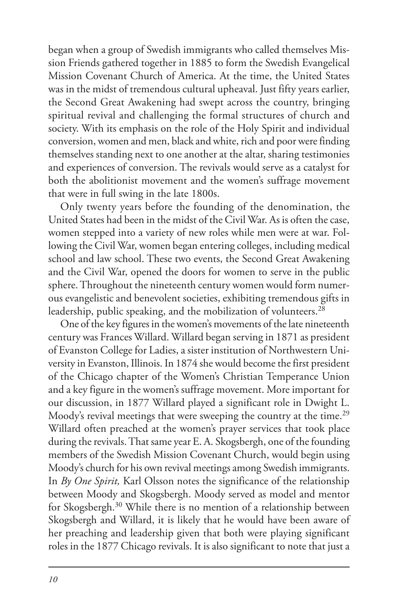began when a group of Swedish immigrants who called themselves Mission Friends gathered together in 1885 to form the Swedish Evangelical Mission Covenant Church of America. At the time, the United States was in the midst of tremendous cultural upheaval. Just fifty years earlier, the Second Great Awakening had swept across the country, bringing spiritual revival and challenging the formal structures of church and society. With its emphasis on the role of the Holy Spirit and individual conversion, women and men, black and white, rich and poor were finding themselves standing next to one another at the altar, sharing testimonies and experiences of conversion. The revivals would serve as a catalyst for both the abolitionist movement and the women's suffrage movement that were in full swing in the late 1800s.

Only twenty years before the founding of the denomination, the United States had been in the midst of the Civil War. As is often the case, women stepped into a variety of new roles while men were at war. Following the Civil War, women began entering colleges, including medical school and law school. These two events, the Second Great Awakening and the Civil War, opened the doors for women to serve in the public sphere. Throughout the nineteenth century women would form numerous evangelistic and benevolent societies, exhibiting tremendous gifts in leadership, public speaking, and the mobilization of volunteers.<sup>28</sup>

One of the key figures in the women's movements of the late nineteenth century was Frances Willard. Willard began serving in 1871 as president of Evanston College for Ladies, a sister institution of Northwestern University in Evanston, Illinois. In 1874 she would become the first president of the Chicago chapter of the Women's Christian Temperance Union and a key figure in the women's suffrage movement. More important for our discussion, in 1877 Willard played a significant role in Dwight L. Moody's revival meetings that were sweeping the country at the time.<sup>29</sup> Willard often preached at the women's prayer services that took place during the revivals. That same year E. A. Skogsbergh, one of the founding members of the Swedish Mission Covenant Church, would begin using Moody's church for his own revival meetings among Swedish immigrants. In *By One Spirit,* Karl Olsson notes the significance of the relationship between Moody and Skogsbergh. Moody served as model and mentor for Skogsbergh.<sup>30</sup> While there is no mention of a relationship between Skogsbergh and Willard, it is likely that he would have been aware of her preaching and leadership given that both were playing significant roles in the 1877 Chicago revivals. It is also significant to note that just a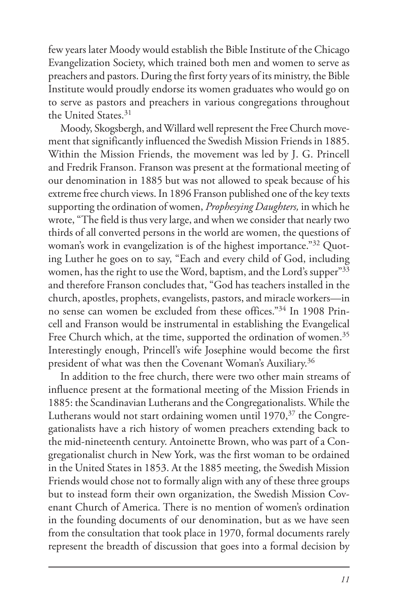few years later Moody would establish the Bible Institute of the Chicago Evangelization Society, which trained both men and women to serve as preachers and pastors. During the first forty years of its ministry, the Bible Institute would proudly endorse its women graduates who would go on to serve as pastors and preachers in various congregations throughout the United States.31

Moody, Skogsbergh, and Willard well represent the Free Church movement that significantly influenced the Swedish Mission Friends in 1885. Within the Mission Friends, the movement was led by J. G. Princell and Fredrik Franson. Franson was present at the formational meeting of our denomination in 1885 but was not allowed to speak because of his extreme free church views. In 1896 Franson published one of the key texts supporting the ordination of women, *Prophesying Daughters,* in which he wrote, "The field is thus very large, and when we consider that nearly two thirds of all converted persons in the world are women, the questions of woman's work in evangelization is of the highest importance."32 Quoting Luther he goes on to say, "Each and every child of God, including women, has the right to use the Word, baptism, and the Lord's supper"33 and therefore Franson concludes that, "God has teachers installed in the church, apostles, prophets, evangelists, pastors, and miracle workers—in no sense can women be excluded from these offices."34 In 1908 Princell and Franson would be instrumental in establishing the Evangelical Free Church which, at the time, supported the ordination of women.<sup>35</sup> Interestingly enough, Princell's wife Josephine would become the first president of what was then the Covenant Woman's Auxiliary.36

In addition to the free church, there were two other main streams of influence present at the formational meeting of the Mission Friends in 1885: the Scandinavian Lutherans and the Congregationalists. While the Lutherans would not start ordaining women until 1970,<sup>37</sup> the Congregationalists have a rich history of women preachers extending back to the mid-nineteenth century. Antoinette Brown, who was part of a Congregationalist church in New York, was the first woman to be ordained in the United States in 1853. At the 1885 meeting, the Swedish Mission Friends would chose not to formally align with any of these three groups but to instead form their own organization, the Swedish Mission Covenant Church of America. There is no mention of women's ordination in the founding documents of our denomination, but as we have seen from the consultation that took place in 1970, formal documents rarely represent the breadth of discussion that goes into a formal decision by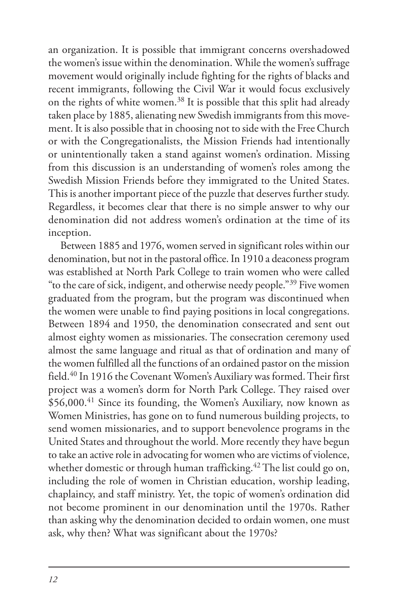an organization. It is possible that immigrant concerns overshadowed the women's issue within the denomination. While the women's suffrage movement would originally include fighting for the rights of blacks and recent immigrants, following the Civil War it would focus exclusively on the rights of white women.38 It is possible that this split had already taken place by 1885, alienating new Swedish immigrants from this movement. It is also possible that in choosing not to side with the Free Church or with the Congregationalists, the Mission Friends had intentionally or unintentionally taken a stand against women's ordination. Missing from this discussion is an understanding of women's roles among the Swedish Mission Friends before they immigrated to the United States. This is another important piece of the puzzle that deserves further study. Regardless, it becomes clear that there is no simple answer to why our denomination did not address women's ordination at the time of its inception.

Between 1885 and 1976, women served in significant roles within our denomination, but not in the pastoral office. In 1910 a deaconess program was established at North Park College to train women who were called "to the care of sick, indigent, and otherwise needy people."39 Five women graduated from the program, but the program was discontinued when the women were unable to find paying positions in local congregations. Between 1894 and 1950, the denomination consecrated and sent out almost eighty women as missionaries. The consecration ceremony used almost the same language and ritual as that of ordination and many of the women fulfilled all the functions of an ordained pastor on the mission field.<sup>40</sup> In 1916 the Covenant Women's Auxiliary was formed. Their first project was a women's dorm for North Park College. They raised over \$56,000.<sup>41</sup> Since its founding, the Women's Auxiliary, now known as Women Ministries, has gone on to fund numerous building projects, to send women missionaries, and to support benevolence programs in the United States and throughout the world. More recently they have begun to take an active role in advocating for women who are victims of violence, whether domestic or through human trafficking.<sup>42</sup> The list could go on, including the role of women in Christian education, worship leading, chaplaincy, and staff ministry. Yet, the topic of women's ordination did not become prominent in our denomination until the 1970s. Rather than asking why the denomination decided to ordain women, one must ask, why then? What was significant about the 1970s?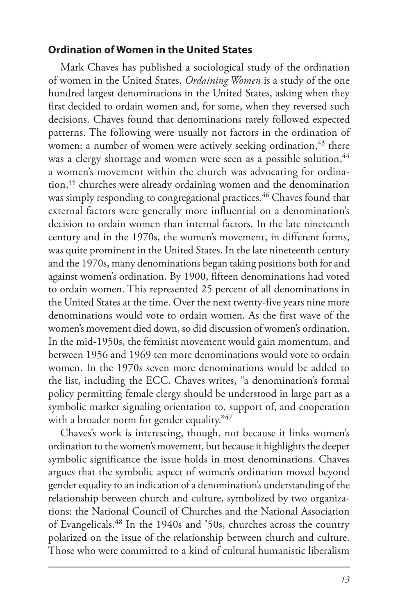#### **Ordination of Women in the United States**

Mark Chaves has published a sociological study of the ordination of women in the United States. *Ordaining Women* is a study of the one hundred largest denominations in the United States, asking when they first decided to ordain women and, for some, when they reversed such decisions. Chaves found that denominations rarely followed expected patterns. The following were usually not factors in the ordination of women: a number of women were actively seeking ordination, $43$  there was a clergy shortage and women were seen as a possible solution, <sup>44</sup> a women's movement within the church was advocating for ordination,45 churches were already ordaining women and the denomination was simply responding to congregational practices.<sup>46</sup> Chaves found that external factors were generally more influential on a denomination's decision to ordain women than internal factors. In the late nineteenth century and in the 1970s, the women's movement, in different forms, was quite prominent in the United States. In the late nineteenth century and the 1970s, many denominations began taking positions both for and against women's ordination. By 1900, fifteen denominations had voted to ordain women. This represented 25 percent of all denominations in the United States at the time. Over the next twenty-five years nine more denominations would vote to ordain women. As the first wave of the women's movement died down, so did discussion of women's ordination. In the mid-1950s, the feminist movement would gain momentum, and between 1956 and 1969 ten more denominations would vote to ordain women. In the 1970s seven more denominations would be added to the list, including the ECC. Chaves writes, "a denomination's formal policy permitting female clergy should be understood in large part as a symbolic marker signaling orientation to, support of, and cooperation with a broader norm for gender equality."47

Chaves's work is interesting, though, not because it links women's ordination to the women's movement, but because it highlights the deeper symbolic significance the issue holds in most denominations. Chaves argues that the symbolic aspect of women's ordination moved beyond gender equality to an indication of a denomination's understanding of the relationship between church and culture, symbolized by two organizations: the National Council of Churches and the National Association of Evangelicals.48 In the 1940s and '50s, churches across the country polarized on the issue of the relationship between church and culture. Those who were committed to a kind of cultural humanistic liberalism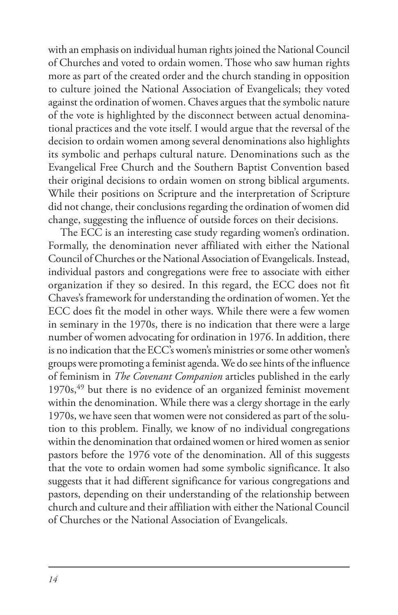with an emphasis on individual human rights joined the National Council of Churches and voted to ordain women. Those who saw human rights more as part of the created order and the church standing in opposition to culture joined the National Association of Evangelicals; they voted against the ordination of women. Chaves argues that the symbolic nature of the vote is highlighted by the disconnect between actual denominational practices and the vote itself. I would argue that the reversal of the decision to ordain women among several denominations also highlights its symbolic and perhaps cultural nature. Denominations such as the Evangelical Free Church and the Southern Baptist Convention based their original decisions to ordain women on strong biblical arguments. While their positions on Scripture and the interpretation of Scripture did not change, their conclusions regarding the ordination of women did change, suggesting the influence of outside forces on their decisions.

The ECC is an interesting case study regarding women's ordination. Formally, the denomination never affiliated with either the National Council of Churches or the National Association of Evangelicals. Instead, individual pastors and congregations were free to associate with either organization if they so desired. In this regard, the ECC does not fit Chaves's framework for understanding the ordination of women. Yet the ECC does fit the model in other ways. While there were a few women in seminary in the 1970s, there is no indication that there were a large number of women advocating for ordination in 1976. In addition, there is no indication that the ECC's women's ministries or some other women's groups were promoting a feminist agenda. We do see hints of the influence of feminism in *The Covenant Companion* articles published in the early  $1970s$ ,<sup>49</sup> but there is no evidence of an organized feminist movement within the denomination. While there was a clergy shortage in the early 1970s, we have seen that women were not considered as part of the solution to this problem. Finally, we know of no individual congregations within the denomination that ordained women or hired women as senior pastors before the 1976 vote of the denomination. All of this suggests that the vote to ordain women had some symbolic significance. It also suggests that it had different significance for various congregations and pastors, depending on their understanding of the relationship between church and culture and their affiliation with either the National Council of Churches or the National Association of Evangelicals.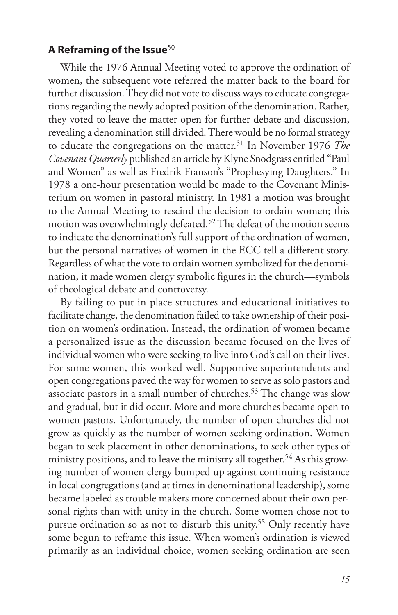#### **A Reframing of the Issue**<sup>50</sup>

While the 1976 Annual Meeting voted to approve the ordination of women, the subsequent vote referred the matter back to the board for further discussion. They did not vote to discuss ways to educate congregations regarding the newly adopted position of the denomination. Rather, they voted to leave the matter open for further debate and discussion, revealing a denomination still divided. There would be no formal strategy to educate the congregations on the matter.51 In November 1976 *The Covenant Quarterly* published an article by Klyne Snodgrass entitled "Paul and Women" as well as Fredrik Franson's "Prophesying Daughters." In 1978 a one-hour presentation would be made to the Covenant Ministerium on women in pastoral ministry. In 1981 a motion was brought to the Annual Meeting to rescind the decision to ordain women; this motion was overwhelmingly defeated.<sup>52</sup> The defeat of the motion seems to indicate the denomination's full support of the ordination of women, but the personal narratives of women in the ECC tell a different story. Regardless of what the vote to ordain women symbolized for the denomination, it made women clergy symbolic figures in the church—symbols of theological debate and controversy.

By failing to put in place structures and educational initiatives to facilitate change, the denomination failed to take ownership of their position on women's ordination. Instead, the ordination of women became a personalized issue as the discussion became focused on the lives of individual women who were seeking to live into God's call on their lives. For some women, this worked well. Supportive superintendents and open congregations paved the way for women to serve as solo pastors and associate pastors in a small number of churches.53 The change was slow and gradual, but it did occur. More and more churches became open to women pastors. Unfortunately, the number of open churches did not grow as quickly as the number of women seeking ordination. Women began to seek placement in other denominations, to seek other types of ministry positions, and to leave the ministry all together.<sup>54</sup> As this growing number of women clergy bumped up against continuing resistance in local congregations (and at times in denominational leadership), some became labeled as trouble makers more concerned about their own personal rights than with unity in the church. Some women chose not to pursue ordination so as not to disturb this unity.<sup>55</sup> Only recently have some begun to reframe this issue. When women's ordination is viewed primarily as an individual choice, women seeking ordination are seen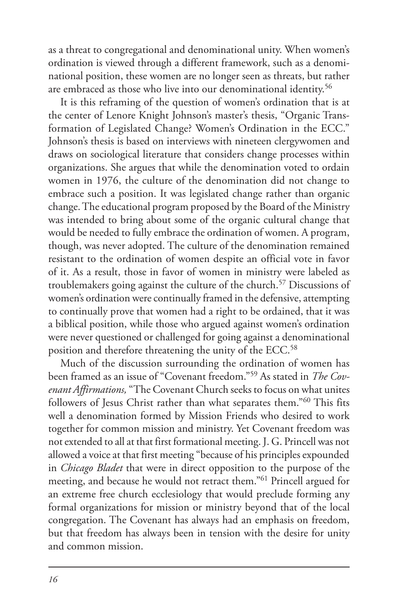as a threat to congregational and denominational unity. When women's ordination is viewed through a different framework, such as a denominational position, these women are no longer seen as threats, but rather are embraced as those who live into our denominational identity.<sup>56</sup>

It is this reframing of the question of women's ordination that is at the center of Lenore Knight Johnson's master's thesis, "Organic Transformation of Legislated Change? Women's Ordination in the ECC." Johnson's thesis is based on interviews with nineteen clergywomen and draws on sociological literature that considers change processes within organizations. She argues that while the denomination voted to ordain women in 1976, the culture of the denomination did not change to embrace such a position. It was legislated change rather than organic change. The educational program proposed by the Board of the Ministry was intended to bring about some of the organic cultural change that would be needed to fully embrace the ordination of women. A program, though, was never adopted. The culture of the denomination remained resistant to the ordination of women despite an official vote in favor of it. As a result, those in favor of women in ministry were labeled as troublemakers going against the culture of the church.57 Discussions of women's ordination were continually framed in the defensive, attempting to continually prove that women had a right to be ordained, that it was a biblical position, while those who argued against women's ordination were never questioned or challenged for going against a denominational position and therefore threatening the unity of the ECC.58

Much of the discussion surrounding the ordination of women has been framed as an issue of "Covenant freedom."59 As stated in *The Covenant Affirmations,* "The Covenant Church seeks to focus on what unites followers of Jesus Christ rather than what separates them."60 This fits well a denomination formed by Mission Friends who desired to work together for common mission and ministry. Yet Covenant freedom was not extended to all at that first formational meeting. J. G. Princell was not allowed a voice at that first meeting "because of his principles expounded in *Chicago Bladet* that were in direct opposition to the purpose of the meeting, and because he would not retract them."61 Princell argued for an extreme free church ecclesiology that would preclude forming any formal organizations for mission or ministry beyond that of the local congregation. The Covenant has always had an emphasis on freedom, but that freedom has always been in tension with the desire for unity and common mission.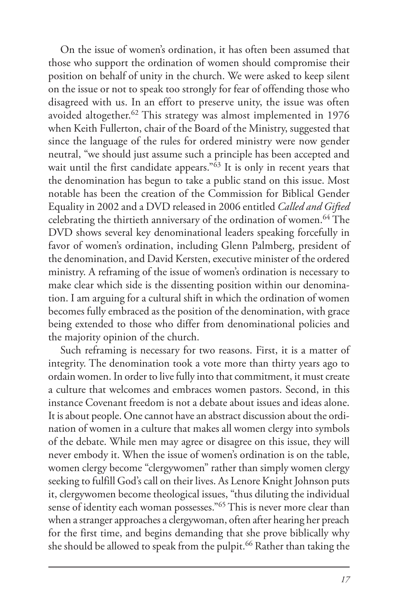On the issue of women's ordination, it has often been assumed that those who support the ordination of women should compromise their position on behalf of unity in the church. We were asked to keep silent on the issue or not to speak too strongly for fear of offending those who disagreed with us. In an effort to preserve unity, the issue was often avoided altogether.<sup>62</sup> This strategy was almost implemented in 1976 when Keith Fullerton, chair of the Board of the Ministry, suggested that since the language of the rules for ordered ministry were now gender neutral, "we should just assume such a principle has been accepted and wait until the first candidate appears."<sup>63</sup> It is only in recent years that the denomination has begun to take a public stand on this issue. Most notable has been the creation of the Commission for Biblical Gender Equality in 2002 and a DVD released in 2006 entitled *Called and Gifted* celebrating the thirtieth anniversary of the ordination of women.<sup>64</sup> The DVD shows several key denominational leaders speaking forcefully in favor of women's ordination, including Glenn Palmberg, president of the denomination, and David Kersten, executive minister of the ordered ministry. A reframing of the issue of women's ordination is necessary to make clear which side is the dissenting position within our denomination. I am arguing for a cultural shift in which the ordination of women becomes fully embraced as the position of the denomination, with grace being extended to those who differ from denominational policies and the majority opinion of the church.

Such reframing is necessary for two reasons. First, it is a matter of integrity. The denomination took a vote more than thirty years ago to ordain women. In order to live fully into that commitment, it must create a culture that welcomes and embraces women pastors. Second, in this instance Covenant freedom is not a debate about issues and ideas alone. It is about people. One cannot have an abstract discussion about the ordination of women in a culture that makes all women clergy into symbols of the debate. While men may agree or disagree on this issue, they will never embody it. When the issue of women's ordination is on the table, women clergy become "clergywomen" rather than simply women clergy seeking to fulfill God's call on their lives. As Lenore Knight Johnson puts it, clergywomen become theological issues, "thus diluting the individual sense of identity each woman possesses."65 This is never more clear than when a stranger approaches a clergywoman, often after hearing her preach for the first time, and begins demanding that she prove biblically why she should be allowed to speak from the pulpit.<sup>66</sup> Rather than taking the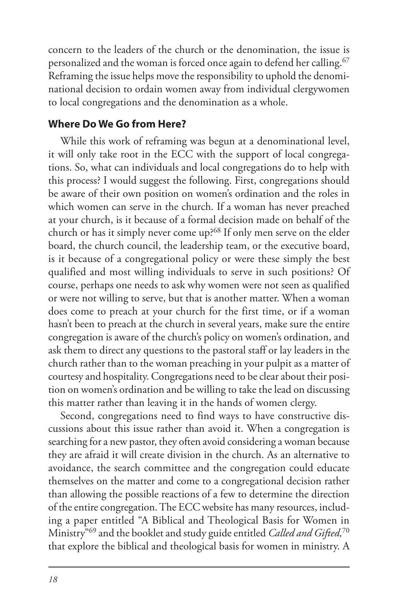concern to the leaders of the church or the denomination, the issue is personalized and the woman is forced once again to defend her calling.<sup>67</sup> Reframing the issue helps move the responsibility to uphold the denominational decision to ordain women away from individual clergywomen to local congregations and the denomination as a whole.

#### **Where Do We Go from Here?**

While this work of reframing was begun at a denominational level, it will only take root in the ECC with the support of local congregations. So, what can individuals and local congregations do to help with this process? I would suggest the following. First, congregations should be aware of their own position on women's ordination and the roles in which women can serve in the church. If a woman has never preached at your church, is it because of a formal decision made on behalf of the church or has it simply never come up?<sup>68</sup> If only men serve on the elder board, the church council, the leadership team, or the executive board, is it because of a congregational policy or were these simply the best qualified and most willing individuals to serve in such positions? Of course, perhaps one needs to ask why women were not seen as qualified or were not willing to serve, but that is another matter. When a woman does come to preach at your church for the first time, or if a woman hasn't been to preach at the church in several years, make sure the entire congregation is aware of the church's policy on women's ordination, and ask them to direct any questions to the pastoral staff or lay leaders in the church rather than to the woman preaching in your pulpit as a matter of courtesy and hospitality. Congregations need to be clear about their position on women's ordination and be willing to take the lead on discussing this matter rather than leaving it in the hands of women clergy.

Second, congregations need to find ways to have constructive discussions about this issue rather than avoid it. When a congregation is searching for a new pastor, they often avoid considering a woman because they are afraid it will create division in the church. As an alternative to avoidance, the search committee and the congregation could educate themselves on the matter and come to a congregational decision rather than allowing the possible reactions of a few to determine the direction of the entire congregation. The ECC website has many resources, including a paper entitled "A Biblical and Theological Basis for Women in Ministry"69 and the booklet and study guide entitled *Called and Gifted,*<sup>70</sup> that explore the biblical and theological basis for women in ministry. A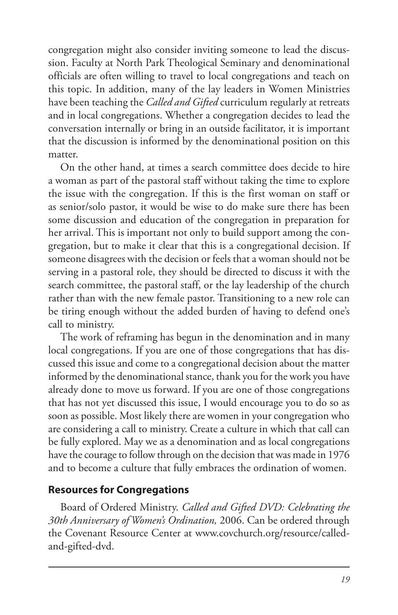congregation might also consider inviting someone to lead the discussion. Faculty at North Park Theological Seminary and denominational officials are often willing to travel to local congregations and teach on this topic. In addition, many of the lay leaders in Women Ministries have been teaching the *Called and Gifted* curriculum regularly at retreats and in local congregations. Whether a congregation decides to lead the conversation internally or bring in an outside facilitator, it is important that the discussion is informed by the denominational position on this matter.

On the other hand, at times a search committee does decide to hire a woman as part of the pastoral staff without taking the time to explore the issue with the congregation. If this is the first woman on staff or as senior/solo pastor, it would be wise to do make sure there has been some discussion and education of the congregation in preparation for her arrival. This is important not only to build support among the congregation, but to make it clear that this is a congregational decision. If someone disagrees with the decision or feels that a woman should not be serving in a pastoral role, they should be directed to discuss it with the search committee, the pastoral staff, or the lay leadership of the church rather than with the new female pastor. Transitioning to a new role can be tiring enough without the added burden of having to defend one's call to ministry.

The work of reframing has begun in the denomination and in many local congregations. If you are one of those congregations that has discussed this issue and come to a congregational decision about the matter informed by the denominational stance, thank you for the work you have already done to move us forward. If you are one of those congregations that has not yet discussed this issue, I would encourage you to do so as soon as possible. Most likely there are women in your congregation who are considering a call to ministry. Create a culture in which that call can be fully explored. May we as a denomination and as local congregations have the courage to follow through on the decision that was made in 1976 and to become a culture that fully embraces the ordination of women.

## **Resources for Congregations**

Board of Ordered Ministry. *Called and Gifted DVD: Celebrating the 30th Anniversary of Women's Ordination,* 2006. Can be ordered through the Covenant Resource Center at www.covchurch.org/resource/calledand-gifted-dvd.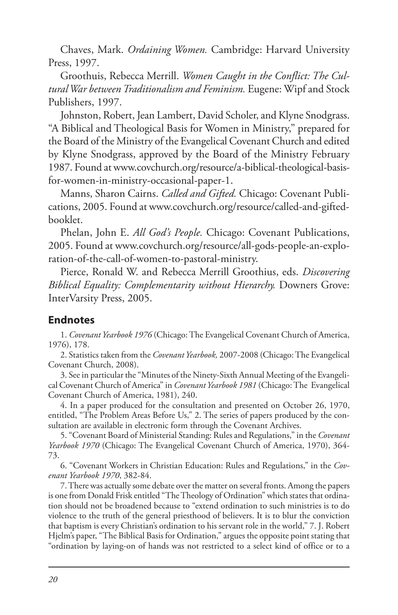Chaves, Mark. *Ordaining Women.* Cambridge: Harvard University Press, 1997.

Groothuis, Rebecca Merrill. *Women Caught in the Conflict: The Cultural War between Traditionalism and Feminism.* Eugene: Wipf and Stock Publishers, 1997.

Johnston, Robert, Jean Lambert, David Scholer, and Klyne Snodgrass. "A Biblical and Theological Basis for Women in Ministry," prepared for the Board of the Ministry of the Evangelical Covenant Church and edited by Klyne Snodgrass, approved by the Board of the Ministry February 1987. Found at www.covchurch.org/resource/a-biblical-theological-basisfor-women-in-ministry-occasional-paper-1.

Manns, Sharon Cairns. *Called and Gifted.* Chicago: Covenant Publications, 2005. Found at www.covchurch.org/resource/called-and-giftedbooklet.

Phelan, John E. *All God's People.* Chicago: Covenant Publications, 2005. Found at www.covchurch.org/resource/all-gods-people-an-exploration-of-the-call-of-women-to-pastoral-ministry.

Pierce, Ronald W. and Rebecca Merrill Groothius, eds. *Discovering Biblical Equality: Complementarity without Hierarchy.* Downers Grove: InterVarsity Press, 2005.

#### **Endnotes**

1. *Covenant Yearbook 1976* (Chicago: The Evangelical Covenant Church of America, 1976), 178.

2. Statistics taken from the *Covenant Yearbook,* 2007-2008 (Chicago: The Evangelical Covenant Church, 2008).

3. See in particular the "Minutes of the Ninety-Sixth Annual Meeting of the Evangelical Covenant Church of America" in *Covenant Yearbook 1981* (Chicago: The Evangelical Covenant Church of America, 1981), 240.

4. In a paper produced for the consultation and presented on October 26, 1970, entitled, "The Problem Areas Before Us," 2. The series of papers produced by the consultation are available in electronic form through the Covenant Archives.

5. "Covenant Board of Ministerial Standing: Rules and Regulations," in the *Covenant Yearbook 1970* (Chicago: The Evangelical Covenant Church of America, 1970), 364- 73.

6. "Covenant Workers in Christian Education: Rules and Regulations," in the *Covenant Yearbook 1970*, 382-84.

7. There was actually some debate over the matter on several fronts. Among the papers is one from Donald Frisk entitled "The Theology of Ordination" which states that ordination should not be broadened because to "extend ordination to such ministries is to do violence to the truth of the general priesthood of believers. It is to blur the conviction that baptism is every Christian's ordination to his servant role in the world," 7. J. Robert Hjelm's paper, "The Biblical Basis for Ordination," argues the opposite point stating that "ordination by laying-on of hands was not restricted to a select kind of office or to a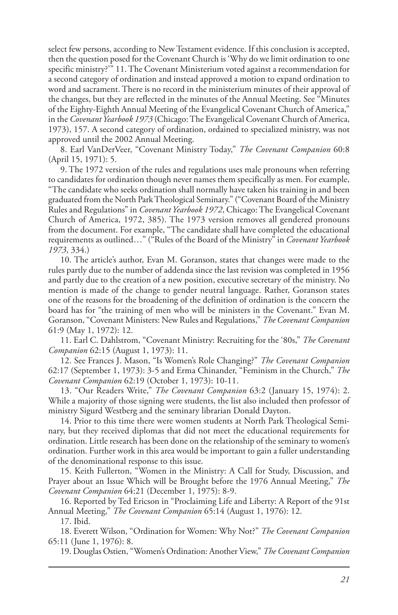select few persons, according to New Testament evidence. If this conclusion is accepted, then the question posed for the Covenant Church is 'Why do we limit ordination to one specific ministry?'" 11. The Covenant Ministerium voted against a recommendation for a second category of ordination and instead approved a motion to expand ordination to word and sacrament. There is no record in the ministerium minutes of their approval of the changes, but they are reflected in the minutes of the Annual Meeting. See "Minutes of the Eighty-Eighth Annual Meeting of the Evangelical Covenant Church of America," in the *Covenant Yearbook 1973* (Chicago: The Evangelical Covenant Church of America, 1973), 157. A second category of ordination, ordained to specialized ministry, was not approved until the 2002 Annual Meeting.

8. Earl VanDerVeer, "Covenant Ministry Today," *The Covenant Companion* 60:8 (April 15, 1971): 5.

9. The 1972 version of the rules and regulations uses male pronouns when referring to candidates for ordination though never names them specifically as men. For example, "The candidate who seeks ordination shall normally have taken his training in and been graduated from the North Park Theological Seminary." ("Covenant Board of the Ministry Rules and Regulations" in *Covenant Yearbook 1972*, Chicago: The Evangelical Covenant Church of America, 1972, 385). The 1973 version removes all gendered pronouns from the document. For example, "The candidate shall have completed the educational requirements as outlined…" ("Rules of the Board of the Ministry" in *Covenant Yearbook 1973*, 334.)

10. The article's author, Evan M. Goranson, states that changes were made to the rules partly due to the number of addenda since the last revision was completed in 1956 and partly due to the creation of a new position, executive secretary of the ministry. No mention is made of the change to gender neutral language. Rather, Goranson states one of the reasons for the broadening of the definition of ordination is the concern the board has for "the training of men who will be ministers in the Covenant." Evan M. Goranson, "Covenant Ministers: New Rules and Regulations," *The Covenant Companion* 61:9 (May 1, 1972): 12.

11. Earl C. Dahlstrom, "Covenant Ministry: Recruiting for the '80s," *The Covenant Companion* 62:15 (August 1, 1973): 11.

12. See Frances J. Mason, "Is Women's Role Changing?" *The Covenant Companion* 62:17 (September 1, 1973): 3-5 and Erma Chinander, "Feminism in the Church," *The Covenant Companion* 62:19 (October 1, 1973): 10-11.

13. "Our Readers Write," *The Covenant Companion* 63:2 (January 15, 1974): 2. While a majority of those signing were students, the list also included then professor of ministry Sigurd Westberg and the seminary librarian Donald Dayton.

14. Prior to this time there were women students at North Park Theological Seminary, but they received diplomas that did not meet the educational requirements for ordination. Little research has been done on the relationship of the seminary to women's ordination. Further work in this area would be important to gain a fuller understanding of the denominational response to this issue.

15. Keith Fullerton, "Women in the Ministry: A Call for Study, Discussion, and Prayer about an Issue Which will be Brought before the 1976 Annual Meeting," *The Covenant Companion* 64:21 (December 1, 1975): 8-9.

16. Reported by Ted Ericson in "Proclaiming Life and Liberty: A Report of the 91st Annual Meeting," *The Covenant Companion* 65:14 (August 1, 1976): 12.

17. Ibid.

18. Everett Wilson, "Ordination for Women: Why Not?" *The Covenant Companion* 65:11 (June 1, 1976): 8.

19. Douglas Ostien, "Women's Ordination: Another View," *The Covenant Companion*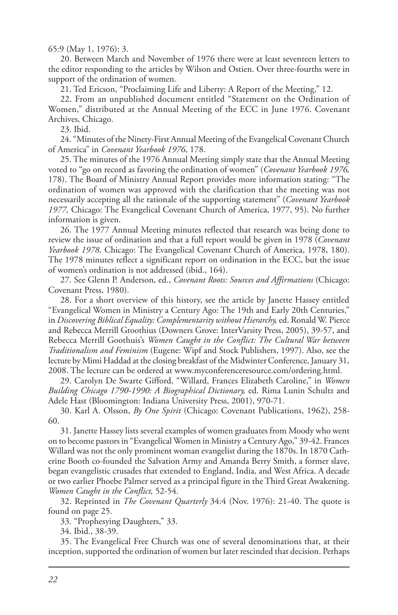65:9 (May 1, 1976): 3.

20. Between March and November of 1976 there were at least seventeen letters to the editor responding to the articles by Wilson and Ostien. Over three-fourths were in support of the ordination of women.

21. Ted Ericson, "Proclaiming Life and Liberty: A Report of the Meeting," 12.

22. From an unpublished document entitled "Statement on the Ordination of Women," distributed at the Annual Meeting of the ECC in June 1976. Covenant Archives, Chicago.

23. Ibid.

24. "Minutes of the Ninety-First Annual Meeting of the Evangelical Covenant Church of America" in *Covenant Yearbook 1976*, 178.

25. The minutes of the 1976 Annual Meeting simply state that the Annual Meeting voted to "go on record as favoring the ordination of women" (*Covenant Yearbook 1976,* 178). The Board of Ministry Annual Report provides more information stating: "The ordination of women was approved with the clarification that the meeting was not necessarily accepting all the rationale of the supporting statement" (*Covenant Yearbook 1977,* Chicago: The Evangelical Covenant Church of America, 1977, 95). No further information is given.

26. The 1977 Annual Meeting minutes reflected that research was being done to review the issue of ordination and that a full report would be given in 1978 (*Covenant Yearbook 1978,* Chicago: The Evangelical Covenant Church of America, 1978, 180). The 1978 minutes reflect a significant report on ordination in the ECC, but the issue of women's ordination is not addressed (ibid., 164).

27. See Glenn P. Anderson, ed., *Covenant Roots: Sources and Affirmations* (Chicago: Covenant Press, 1980).

28. For a short overview of this history, see the article by Janette Hassey entitled "Evangelical Women in Ministry a Century Ago: The 19th and Early 20th Centuries," in *Discovering Biblical Equality: Complementarity without Hierarchy,* ed. Ronald W. Pierce and Rebecca Merrill Groothius (Downers Grove: InterVarsity Press, 2005), 39-57, and Rebecca Merrill Goothuis's *Women Caught in the Conflict: The Cultural War between Traditionalism and Feminism* (Eugene: Wipf and Stock Publishers, 1997). Also, see the lecture by Mimi Haddad at the closing breakfast of the Midwinter Conference, January 31, 2008. The lecture can be ordered at www.myconferenceresource.com/ordering.html.

29. Carolyn De Swarte Gifford, "Willard, Frances Elizabeth Caroline," in *Women Building Chicago 1790-1990: A Biographical Dictionary,* ed. Rima Lunin Schultz and Adele Hast (Bloomington: Indiana University Press, 2001), 970-71.

30. Karl A. Olsson, *By One Spirit* (Chicago: Covenant Publications, 1962), 258- 60.

31. Janette Hassey lists several examples of women graduates from Moody who went on to become pastors in "Evangelical Women in Ministry a Century Ago," 39-42. Frances Willard was not the only prominent woman evangelist during the 1870s. In 1870 Catherine Booth co-founded the Salvation Army and Amanda Berry Smith, a former slave, began evangelistic crusades that extended to England, India, and West Africa. A decade or two earlier Phoebe Palmer served as a principal figure in the Third Great Awakening. *Women Caught in the Conflict,* 52-54.

32. Reprinted in *The Covenant Quarterly* 34:4 (Nov. 1976): 21-40. The quote is found on page 25.

33. "Prophesying Daughters," 33.

34. Ibid., 38-39.

35. The Evangelical Free Church was one of several denominations that, at their inception, supported the ordination of women but later rescinded that decision. Perhaps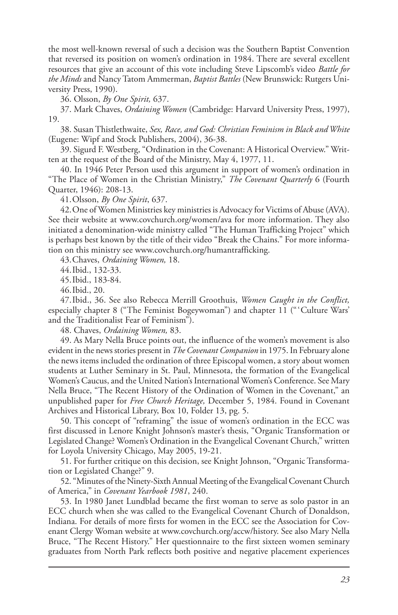the most well-known reversal of such a decision was the Southern Baptist Convention that reversed its position on women's ordination in 1984. There are several excellent resources that give an account of this vote including Steve Lipscomb's video *Battle for the Minds* and Nancy Tatom Ammerman, *Baptist Battles* (New Brunswick: Rutgers University Press, 1990).

36. Olsson, *By One Spirit,* 637.

37. Mark Chaves, *Ordaining Women* (Cambridge: Harvard University Press, 1997), 19.

38. Susan Thistlethwaite, *Sex, Race, and God: Christian Feminism in Black and White* (Eugene: Wipf and Stock Publishers, 2004), 36-38.

39. Sigurd F. Westberg, "Ordination in the Covenant: A Historical Overview." Written at the request of the Board of the Ministry, May 4, 1977, 11.

40. In 1946 Peter Person used this argument in support of women's ordination in "The Place of Women in the Christian Ministry," *The Covenant Quarterly* 6 (Fourth Quarter, 1946): 208-13.

41.Olsson, *By One Spirit*, 637.

42.One of Women Ministries key ministries is Advocacy for Victims of Abuse (AVA). See their website at www.covchurch.org/women/ava for more information. They also initiated a denomination-wide ministry called "The Human Trafficking Project" which is perhaps best known by the title of their video "Break the Chains." For more information on this ministry see www.covchurch.org/humantrafficking.

43.Chaves, *Ordaining Women,* 18.

44.Ibid., 132-33.

45.Ibid., 183-84.

46.Ibid., 20.

47.Ibid., 36. See also Rebecca Merrill Groothuis, *Women Caught in the Conflict,* especially chapter 8 ("The Feminist Bogeywoman") and chapter 11 ("'Culture Wars' and the Traditionalist Fear of Feminism").

48. Chaves, *Ordaining Women,* 83.

49. As Mary Nella Bruce points out, the influence of the women's movement is also evident in the news stories present in *The Covenant Companion* in 1975. In February alone the news items included the ordination of three Episcopal women, a story about women students at Luther Seminary in St. Paul, Minnesota, the formation of the Evangelical Women's Caucus, and the United Nation's International Women's Conference. See Mary Nella Bruce, "The Recent History of the Ordination of Women in the Covenant," an unpublished paper for *Free Church Heritage,* December 5, 1984. Found in Covenant Archives and Historical Library, Box 10, Folder 13, pg. 5.

50. This concept of "reframing" the issue of women's ordination in the ECC was first discussed in Lenore Knight Johnson's master's thesis, "Organic Transformation or Legislated Change? Women's Ordination in the Evangelical Covenant Church," written for Loyola University Chicago, May 2005, 19-21.

51. For further critique on this decision, see Knight Johnson, "Organic Transformation or Legislated Change?" 9.

52. "Minutes of the Ninety-Sixth Annual Meeting of the Evangelical Covenant Church of America," in *Covenant Yearbook 1981*, 240.

53. In 1980 Janet Lundblad became the first woman to serve as solo pastor in an ECC church when she was called to the Evangelical Covenant Church of Donaldson, Indiana. For details of more firsts for women in the ECC see the Association for Covenant Clergy Woman website at www.covchurch.org/accw/history. See also Mary Nella Bruce, "The Recent History." Her questionnaire to the first sixteen women seminary graduates from North Park reflects both positive and negative placement experiences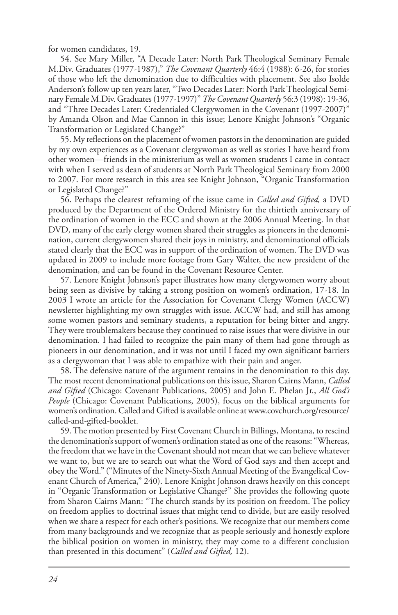for women candidates, 19.

54. See Mary Miller, "A Decade Later: North Park Theological Seminary Female M.Div. Graduates (1977-1987)," *The Covenant Quarterly* 46:4 (1988): 6-26, for stories of those who left the denomination due to difficulties with placement. See also Isolde Anderson's follow up ten years later, "Two Decades Later: North Park Theological Seminary Female M.Div. Graduates (1977-1997)" *The Covenant Quarterly* 56:3 (1998): 19-36, and "Three Decades Later: Credentialed Clergywomen in the Covenant (1997-2007)" by Amanda Olson and Mae Cannon in this issue; Lenore Knight Johnson's "Organic Transformation or Legislated Change?"

55. My reflections on the placement of women pastors in the denomination are guided by my own experiences as a Covenant clergywoman as well as stories I have heard from other women—friends in the ministerium as well as women students I came in contact with when I served as dean of students at North Park Theological Seminary from 2000 to 2007. For more research in this area see Knight Johnson, "Organic Transformation or Legislated Change?"

56. Perhaps the clearest reframing of the issue came in *Called and Gifted,* a DVD produced by the Department of the Ordered Ministry for the thirtieth anniversary of the ordination of women in the ECC and shown at the 2006 Annual Meeting. In that DVD, many of the early clergy women shared their struggles as pioneers in the denomination, current clergywomen shared their joys in ministry, and denominational officials stated clearly that the ECC was in support of the ordination of women. The DVD was updated in 2009 to include more footage from Gary Walter, the new president of the denomination, and can be found in the Covenant Resource Center.

57. Lenore Knight Johnson's paper illustrates how many clergywomen worry about being seen as divisive by taking a strong position on women's ordination, 17-18. In 2003 I wrote an article for the Association for Covenant Clergy Women (ACCW) newsletter highlighting my own struggles with issue. ACCW had, and still has among some women pastors and seminary students, a reputation for being bitter and angry. They were troublemakers because they continued to raise issues that were divisive in our denomination. I had failed to recognize the pain many of them had gone through as pioneers in our denomination, and it was not until I faced my own significant barriers as a clergywoman that I was able to empathize with their pain and anger.

58. The defensive nature of the argument remains in the denomination to this day. The most recent denominational publications on this issue, Sharon Cairns Mann, *Called and Gifted* (Chicago: Covenant Publications, 2005) and John E. Phelan Jr., *All God's People* (Chicago: Covenant Publications, 2005), focus on the biblical arguments for women's ordination. Called and Gifted is available online at www.covchurch.org/resource/ called-and-gifted-booklet.

59. The motion presented by First Covenant Church in Billings, Montana, to rescind the denomination's support of women's ordination stated as one of the reasons: "Whereas, the freedom that we have in the Covenant should not mean that we can believe whatever we want to, but we are to search out what the Word of God says and then accept and obey the Word." ("Minutes of the Ninety-Sixth Annual Meeting of the Evangelical Covenant Church of America," 240). Lenore Knight Johnson draws heavily on this concept in "Organic Transformation or Legislative Change?" She provides the following quote from Sharon Cairns Mann: "The church stands by its position on freedom. The policy on freedom applies to doctrinal issues that might tend to divide, but are easily resolved when we share a respect for each other's positions. We recognize that our members come from many backgrounds and we recognize that as people seriously and honestly explore the biblical position on women in ministry, they may come to a different conclusion than presented in this document" (*Called and Gifted,* 12).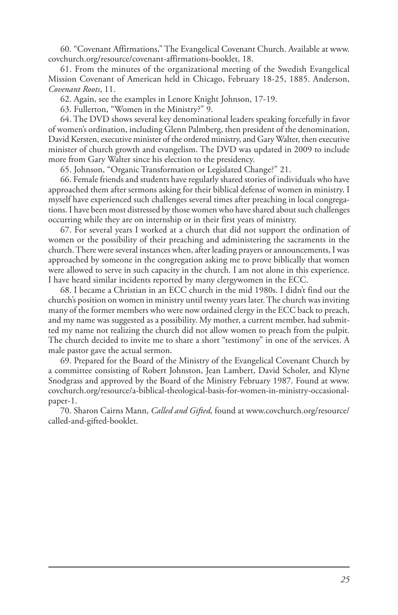60. "Covenant Affirmations," The Evangelical Covenant Church. Available at www. covchurch.org/resource/covenant-affirmations-booklet, 18.

61. From the minutes of the organizational meeting of the Swedish Evangelical Mission Covenant of American held in Chicago, February 18-25, 1885. Anderson, *Covenant Roots*, 11.

62. Again, see the examples in Lenore Knight Johnson, 17-19.

63. Fullerton, "Women in the Ministry?" 9.

64. The DVD shows several key denominational leaders speaking forcefully in favor of women's ordination, including Glenn Palmberg, then president of the denomination, David Kersten, executive minister of the ordered ministry, and Gary Walter, then executive minister of church growth and evangelism. The DVD was updated in 2009 to include more from Gary Walter since his election to the presidency.

65. Johnson, "Organic Transformation or Legislated Change?" 21.

66. Female friends and students have regularly shared stories of individuals who have approached them after sermons asking for their biblical defense of women in ministry. I myself have experienced such challenges several times after preaching in local congregations. I have been most distressed by those women who have shared about such challenges occurring while they are on internship or in their first years of ministry.

67. For several years I worked at a church that did not support the ordination of women or the possibility of their preaching and administering the sacraments in the church. There were several instances when, after leading prayers or announcements, I was approached by someone in the congregation asking me to prove biblically that women were allowed to serve in such capacity in the church. I am not alone in this experience. I have heard similar incidents reported by many clergywomen in the ECC.

68. I became a Christian in an ECC church in the mid 1980s. I didn't find out the church's position on women in ministry until twenty years later. The church was inviting many of the former members who were now ordained clergy in the ECC back to preach, and my name was suggested as a possibility. My mother, a current member, had submitted my name not realizing the church did not allow women to preach from the pulpit. The church decided to invite me to share a short "testimony" in one of the services. A male pastor gave the actual sermon.

69. Prepared for the Board of the Ministry of the Evangelical Covenant Church by a committee consisting of Robert Johnston, Jean Lambert, David Scholer, and Klyne Snodgrass and approved by the Board of the Ministry February 1987. Found at www. covchurch.org/resource/a-biblical-theological-basis-for-women-in-ministry-occasionalpaper-1.

70. Sharon Cairns Mann, *Called and Gifted,* found at www.covchurch.org/resource/ called-and-gifted-booklet.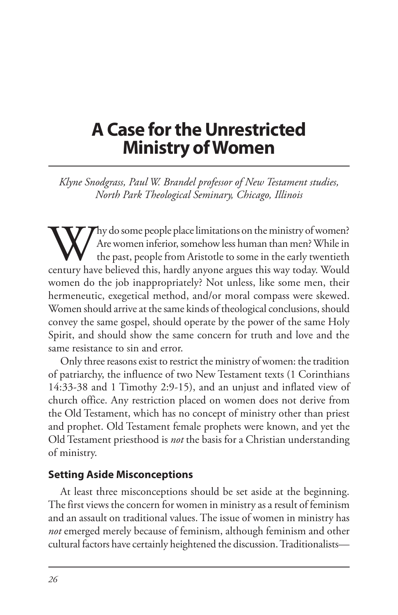# **A Case for the Unrestricted Ministry of Women**

*Klyne Snodgrass, Paul W. Brandel professor of New Testament studies, North Park Theological Seminary, Chicago, Illinois*

Why do some people place limitations on the ministry of women?<br>The women inferior, somehow less human than men? While in<br>the past, people from Aristotle to some in the early twentieth<br>century have believed this, hardly any Are women inferior, somehow less human than men? While in the past, people from Aristotle to some in the early twentieth century have believed this, hardly anyone argues this way today. Would women do the job inappropriately? Not unless, like some men, their hermeneutic, exegetical method, and/or moral compass were skewed. Women should arrive at the same kinds of theological conclusions, should convey the same gospel, should operate by the power of the same Holy Spirit, and should show the same concern for truth and love and the same resistance to sin and error.

Only three reasons exist to restrict the ministry of women: the tradition of patriarchy, the influence of two New Testament texts (1 Corinthians 14:33-38 and 1 Timothy 2:9-15), and an unjust and inflated view of church office. Any restriction placed on women does not derive from the Old Testament, which has no concept of ministry other than priest and prophet. Old Testament female prophets were known, and yet the Old Testament priesthood is *not* the basis for a Christian understanding of ministry.

#### **Setting Aside Misconceptions**

At least three misconceptions should be set aside at the beginning. The first views the concern for women in ministry as a result of feminism and an assault on traditional values. The issue of women in ministry has *not* emerged merely because of feminism, although feminism and other cultural factors have certainly heightened the discussion. Traditionalists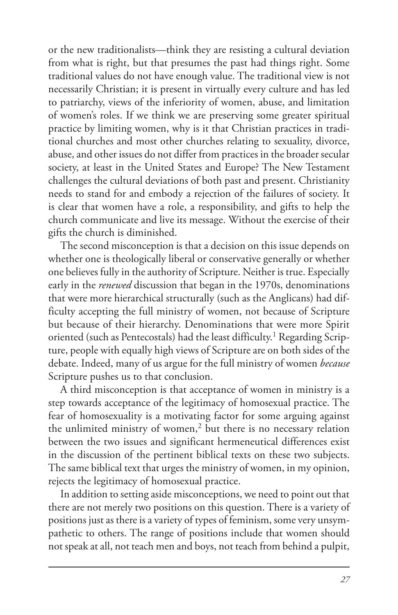or the new traditionalists—think they are resisting a cultural deviation from what is right, but that presumes the past had things right. Some traditional values do not have enough value. The traditional view is not necessarily Christian; it is present in virtually every culture and has led to patriarchy, views of the inferiority of women, abuse, and limitation of women's roles. If we think we are preserving some greater spiritual practice by limiting women, why is it that Christian practices in traditional churches and most other churches relating to sexuality, divorce, abuse, and other issues do not differ from practices in the broader secular society, at least in the United States and Europe? The New Testament challenges the cultural deviations of both past and present. Christianity needs to stand for and embody a rejection of the failures of society. It is clear that women have a role, a responsibility, and gifts to help the church communicate and live its message. Without the exercise of their gifts the church is diminished.

The second misconception is that a decision on this issue depends on whether one is theologically liberal or conservative generally or whether one believes fully in the authority of Scripture. Neither is true. Especially early in the *renewed* discussion that began in the 1970s, denominations that were more hierarchical structurally (such as the Anglicans) had difficulty accepting the full ministry of women, not because of Scripture but because of their hierarchy. Denominations that were more Spirit oriented (such as Pentecostals) had the least difficulty.<sup>1</sup> Regarding Scripture, people with equally high views of Scripture are on both sides of the debate. Indeed, many of us argue for the full ministry of women *because* Scripture pushes us to that conclusion.

A third misconception is that acceptance of women in ministry is a step towards acceptance of the legitimacy of homosexual practice. The fear of homosexuality is a motivating factor for some arguing against the unlimited ministry of women, $2$  but there is no necessary relation between the two issues and significant hermeneutical differences exist in the discussion of the pertinent biblical texts on these two subjects. The same biblical text that urges the ministry of women, in my opinion, rejects the legitimacy of homosexual practice.

In addition to setting aside misconceptions, we need to point out that there are not merely two positions on this question. There is a variety of positions just as there is a variety of types of feminism, some very unsympathetic to others. The range of positions include that women should not speak at all, not teach men and boys, not teach from behind a pulpit,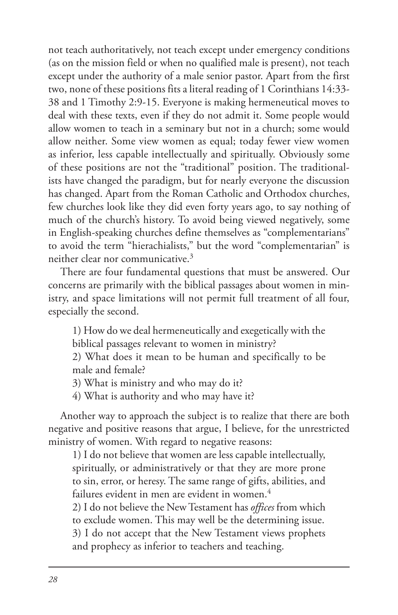not teach authoritatively, not teach except under emergency conditions (as on the mission field or when no qualified male is present), not teach except under the authority of a male senior pastor. Apart from the first two, none of these positions fits a literal reading of 1 Corinthians 14:33- 38 and 1 Timothy 2:9-15. Everyone is making hermeneutical moves to deal with these texts, even if they do not admit it. Some people would allow women to teach in a seminary but not in a church; some would allow neither. Some view women as equal; today fewer view women as inferior, less capable intellectually and spiritually. Obviously some of these positions are not the "traditional" position. The traditionalists have changed the paradigm, but for nearly everyone the discussion has changed. Apart from the Roman Catholic and Orthodox churches, few churches look like they did even forty years ago, to say nothing of much of the church's history. To avoid being viewed negatively, some in English-speaking churches define themselves as "complementarians" to avoid the term "hierachialists," but the word "complementarian" is neither clear nor communicative.3

There are four fundamental questions that must be answered. Our concerns are primarily with the biblical passages about women in ministry, and space limitations will not permit full treatment of all four, especially the second.

1) How do we deal hermeneutically and exegetically with the

biblical passages relevant to women in ministry?

2) What does it mean to be human and specifically to be male and female?

3) What is ministry and who may do it?

4) What is authority and who may have it?

Another way to approach the subject is to realize that there are both negative and positive reasons that argue, I believe, for the unrestricted ministry of women. With regard to negative reasons:

1) I do not believe that women are less capable intellectually, spiritually, or administratively or that they are more prone to sin, error, or heresy. The same range of gifts, abilities, and failures evident in men are evident in women.<sup>4</sup>

2) I do not believe the New Testament has *offices* from which to exclude women. This may well be the determining issue. 3) I do not accept that the New Testament views prophets and prophecy as inferior to teachers and teaching.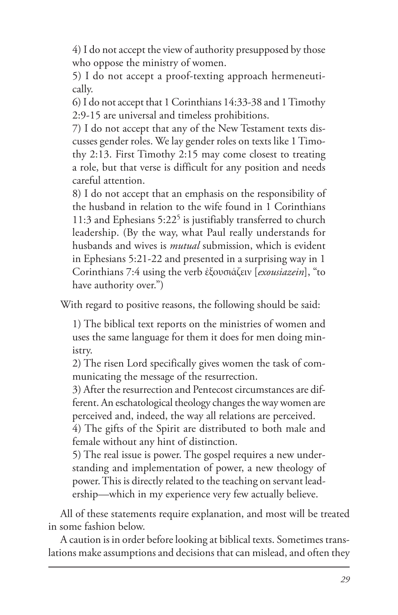4) I do not accept the view of authority presupposed by those who oppose the ministry of women.

5) I do not accept a proof-texting approach hermeneutically.

6) I do not accept that 1 Corinthians 14:33-38 and 1 Timothy 2:9-15 are universal and timeless prohibitions.

7) I do not accept that any of the New Testament texts discusses gender roles. We lay gender roles on texts like 1 Timothy 2:13. First Timothy 2:15 may come closest to treating a role, but that verse is difficult for any position and needs careful attention.

8) I do not accept that an emphasis on the responsibility of the husband in relation to the wife found in 1 Corinthians 11:3 and Ephesians  $5:22^5$  is justifiably transferred to church leadership. (By the way, what Paul really understands for husbands and wives is *mutual* submission, which is evident in Ephesians 5:21-22 and presented in a surprising way in 1 Corinthians 7:4 using the verb ἐξουσιάζειν [*exousiazein*], "to have authority over.")

With regard to positive reasons, the following should be said:

1) The biblical text reports on the ministries of women and uses the same language for them it does for men doing ministry.

2) The risen Lord specifically gives women the task of communicating the message of the resurrection.

3) After the resurrection and Pentecost circumstances are different. An eschatological theology changes the way women are perceived and, indeed, the way all relations are perceived.

4) The gifts of the Spirit are distributed to both male and female without any hint of distinction.

5) The real issue is power. The gospel requires a new understanding and implementation of power, a new theology of power. This is directly related to the teaching on servant leadership—which in my experience very few actually believe.

All of these statements require explanation, and most will be treated in some fashion below.

A caution is in order before looking at biblical texts. Sometimes translations make assumptions and decisions that can mislead, and often they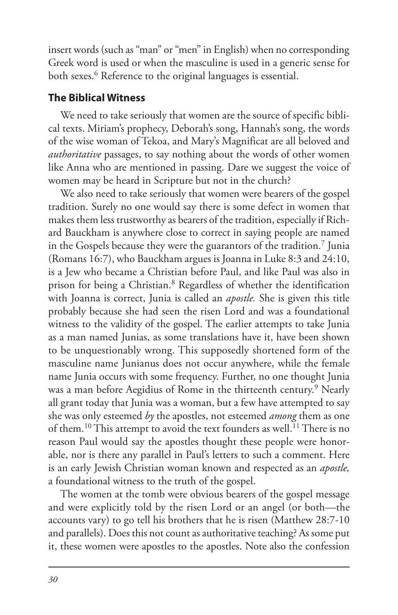insert words (such as "man" or "men" in English) when no corresponding Greek word is used or when the masculine is used in a generic sense for both sexes.<sup>6</sup> Reference to the original languages is essential.

#### **The Biblical Witness**

We need to take seriously that women are the source of specific biblical texts. Miriam's prophecy, Deborah's song, Hannah's song, the words of the wise woman of Tekoa, and Mary's Magnificat are all beloved and *authoritative* passages, to say nothing about the words of other women like Anna who are mentioned in passing. Dare we suggest the voice of women may be heard in Scripture but not in the church?

We also need to take seriously that women were bearers of the gospel tradition. Surely no one would say there is some defect in women that makes them less trustworthy as bearers of the tradition, especially if Richard Bauckham is anywhere close to correct in saying people are named in the Gospels because they were the guarantors of the tradition.7 Junia (Romans 16:7), who Bauckham argues is Joanna in Luke 8:3 and 24:10, is a Jew who became a Christian before Paul, and like Paul was also in prison for being a Christian.8 Regardless of whether the identification with Joanna is correct, Junia is called an *apostle.* She is given this title probably because she had seen the risen Lord and was a foundational witness to the validity of the gospel. The earlier attempts to take Junia as a man named Junias, as some translations have it, have been shown to be unquestionably wrong. This supposedly shortened form of the masculine name Junianus does not occur anywhere, while the female name Junia occurs with some frequency. Further, no one thought Junia was a man before Aegidius of Rome in the thirteenth century.<sup>9</sup> Nearly all grant today that Junia was a woman, but a few have attempted to say she was only esteemed *by* the apostles, not esteemed *among* them as one of them.<sup>10</sup> This attempt to avoid the text founders as well.<sup>11</sup> There is no reason Paul would say the apostles thought these people were honorable, nor is there any parallel in Paul's letters to such a comment. Here is an early Jewish Christian woman known and respected as an *apostle,* a foundational witness to the truth of the gospel.

The women at the tomb were obvious bearers of the gospel message and were explicitly told by the risen Lord or an angel (or both—the accounts vary) to go tell his brothers that he is risen (Matthew 28:7-10 and parallels). Does this not count as authoritative teaching? As some put it, these women were apostles to the apostles. Note also the confession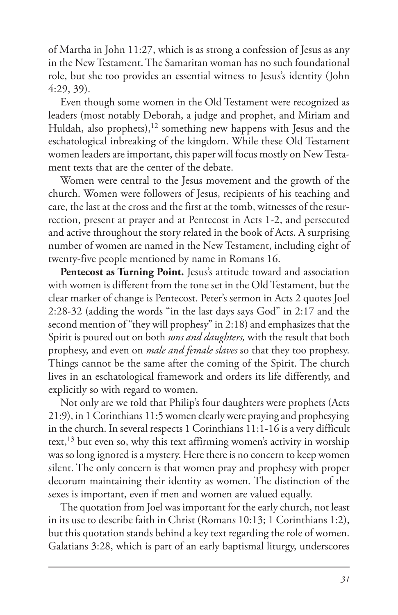of Martha in John 11:27, which is as strong a confession of Jesus as any in the New Testament. The Samaritan woman has no such foundational role, but she too provides an essential witness to Jesus's identity (John 4:29, 39).

Even though some women in the Old Testament were recognized as leaders (most notably Deborah, a judge and prophet, and Miriam and Huldah, also prophets),<sup>12</sup> something new happens with Jesus and the eschatological inbreaking of the kingdom. While these Old Testament women leaders are important, this paper will focus mostly on New Testament texts that are the center of the debate.

Women were central to the Jesus movement and the growth of the church. Women were followers of Jesus, recipients of his teaching and care, the last at the cross and the first at the tomb, witnesses of the resurrection, present at prayer and at Pentecost in Acts 1-2, and persecuted and active throughout the story related in the book of Acts. A surprising number of women are named in the New Testament, including eight of twenty-five people mentioned by name in Romans 16.

Pentecost as Turning Point. Jesus's attitude toward and association with women is different from the tone set in the Old Testament, but the clear marker of change is Pentecost. Peter's sermon in Acts 2 quotes Joel 2:28-32 (adding the words "in the last days says God" in 2:17 and the second mention of "they will prophesy" in 2:18) and emphasizes that the Spirit is poured out on both *sons and daughters,* with the result that both prophesy, and even on *male and female slaves* so that they too prophesy. Things cannot be the same after the coming of the Spirit. The church lives in an eschatological framework and orders its life differently, and explicitly so with regard to women.

Not only are we told that Philip's four daughters were prophets (Acts 21:9), in 1 Corinthians 11:5 women clearly were praying and prophesying in the church. In several respects 1 Corinthians 11:1-16 is a very difficult text,<sup>13</sup> but even so, why this text affirming women's activity in worship was so long ignored is a mystery. Here there is no concern to keep women silent. The only concern is that women pray and prophesy with proper decorum maintaining their identity as women. The distinction of the sexes is important, even if men and women are valued equally.

The quotation from Joel was important for the early church, not least in its use to describe faith in Christ (Romans 10:13; 1 Corinthians 1:2), but this quotation stands behind a key text regarding the role of women. Galatians 3:28, which is part of an early baptismal liturgy, underscores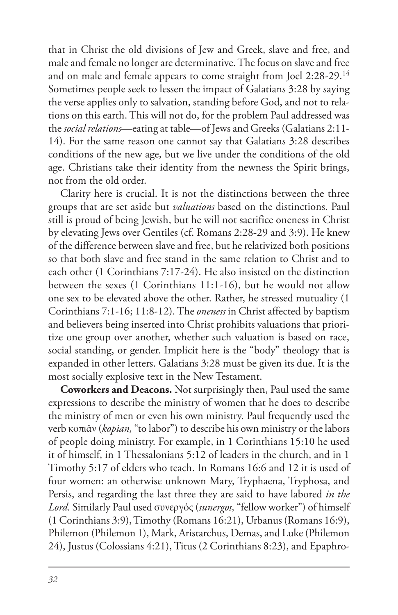that in Christ the old divisions of Jew and Greek, slave and free, and male and female no longer are determinative. The focus on slave and free and on male and female appears to come straight from Joel 2:28-29.14 Sometimes people seek to lessen the impact of Galatians 3:28 by saying the verse applies only to salvation, standing before God, and not to relations on this earth. This will not do, for the problem Paul addressed was the *social relations*—eating at table—of Jews and Greeks (Galatians 2:11- 14). For the same reason one cannot say that Galatians 3:28 describes conditions of the new age, but we live under the conditions of the old age. Christians take their identity from the newness the Spirit brings, not from the old order.

Clarity here is crucial. It is not the distinctions between the three groups that are set aside but *valuations* based on the distinctions. Paul still is proud of being Jewish, but he will not sacrifice oneness in Christ by elevating Jews over Gentiles (cf. Romans 2:28-29 and 3:9). He knew of the difference between slave and free, but he relativized both positions so that both slave and free stand in the same relation to Christ and to each other (1 Corinthians 7:17-24). He also insisted on the distinction between the sexes (1 Corinthians 11:1-16), but he would not allow one sex to be elevated above the other. Rather, he stressed mutuality (1 Corinthians 7:1-16; 11:8-12). The *oneness* in Christ affected by baptism and believers being inserted into Christ prohibits valuations that prioritize one group over another, whether such valuation is based on race, social standing, or gender. Implicit here is the "body" theology that is expanded in other letters. Galatians 3:28 must be given its due. It is the most socially explosive text in the New Testament.

**Coworkers and Deacons.** Not surprisingly then, Paul used the same expressions to describe the ministry of women that he does to describe the ministry of men or even his own ministry. Paul frequently used the verb κοπιᾶν (*kopian,* "to labor") to describe his own ministry or the labors of people doing ministry. For example, in 1 Corinthians 15:10 he used it of himself, in 1 Thessalonians 5:12 of leaders in the church, and in 1 Timothy 5:17 of elders who teach. In Romans 16:6 and 12 it is used of four women: an otherwise unknown Mary, Tryphaena, Tryphosa, and Persis, and regarding the last three they are said to have labored *in the Lord.* Similarly Paul used συνεργός (*sunergos,* "fellow worker") of himself (1 Corinthians 3:9), Timothy (Romans 16:21), Urbanus (Romans 16:9), Philemon (Philemon 1), Mark, Aristarchus, Demas, and Luke (Philemon 24), Justus (Colossians 4:21), Titus (2 Corinthians 8:23), and Epaphro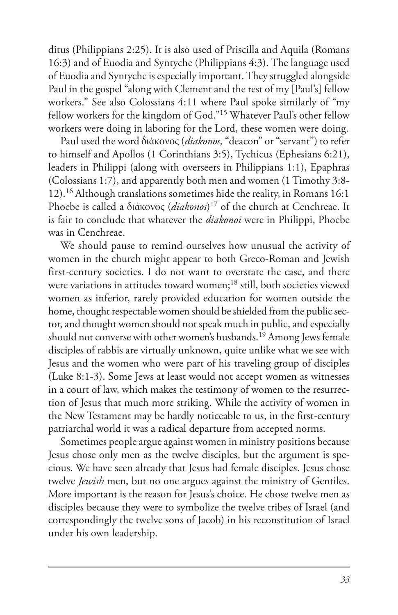ditus (Philippians 2:25). It is also used of Priscilla and Aquila (Romans 16:3) and of Euodia and Syntyche (Philippians 4:3). The language used of Euodia and Syntyche is especially important. They struggled alongside Paul in the gospel "along with Clement and the rest of my [Paul's] fellow workers." See also Colossians 4:11 where Paul spoke similarly of "my fellow workers for the kingdom of God."15 Whatever Paul's other fellow workers were doing in laboring for the Lord, these women were doing.

Paul used the word διάκονος (*diakonos,* "deacon" or "servant") to refer to himself and Apollos (1 Corinthians 3:5), Tychicus (Ephesians 6:21), leaders in Philippi (along with overseers in Philippians 1:1), Epaphras (Colossians 1:7), and apparently both men and women (1 Timothy 3:8- 12).16 Although translations sometimes hide the reality, in Romans 16:1 Phoebe is called a διάκονος (*diakonos*) 17 of the church at Cenchreae. It is fair to conclude that whatever the *diakonoi* were in Philippi, Phoebe was in Cenchreae.

We should pause to remind ourselves how unusual the activity of women in the church might appear to both Greco-Roman and Jewish first-century societies. I do not want to overstate the case, and there were variations in attitudes toward women;<sup>18</sup> still, both societies viewed women as inferior, rarely provided education for women outside the home, thought respectable women should be shielded from the public sector, and thought women should not speak much in public, and especially should not converse with other women's husbands.<sup>19</sup> Among Jews female disciples of rabbis are virtually unknown, quite unlike what we see with Jesus and the women who were part of his traveling group of disciples (Luke 8:1-3). Some Jews at least would not accept women as witnesses in a court of law, which makes the testimony of women to the resurrection of Jesus that much more striking. While the activity of women in the New Testament may be hardly noticeable to us, in the first-century patriarchal world it was a radical departure from accepted norms.

Sometimes people argue against women in ministry positions because Jesus chose only men as the twelve disciples, but the argument is specious. We have seen already that Jesus had female disciples. Jesus chose twelve *Jewish* men, but no one argues against the ministry of Gentiles. More important is the reason for Jesus's choice. He chose twelve men as disciples because they were to symbolize the twelve tribes of Israel (and correspondingly the twelve sons of Jacob) in his reconstitution of Israel under his own leadership.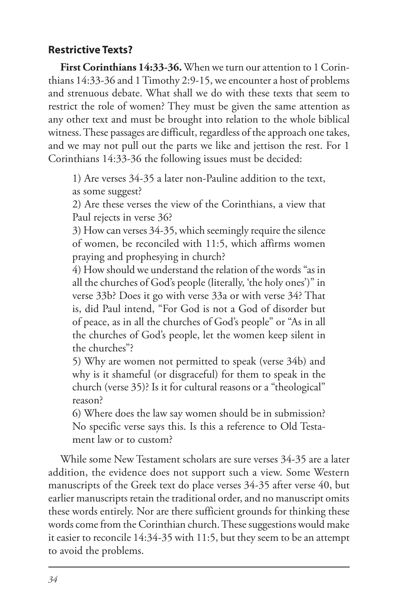## **Restrictive Texts?**

**First Corinthians 14:33-36.** When we turn our attention to 1 Corinthians 14:33-36 and 1 Timothy 2:9-15, we encounter a host of problems and strenuous debate. What shall we do with these texts that seem to restrict the role of women? They must be given the same attention as any other text and must be brought into relation to the whole biblical witness. These passages are difficult, regardless of the approach one takes, and we may not pull out the parts we like and jettison the rest. For 1 Corinthians 14:33-36 the following issues must be decided:

1) Are verses 34-35 a later non-Pauline addition to the text, as some suggest?

2) Are these verses the view of the Corinthians, a view that Paul rejects in verse 36?

3) How can verses 34-35, which seemingly require the silence of women, be reconciled with 11:5, which affirms women praying and prophesying in church?

4) How should we understand the relation of the words "as in all the churches of God's people (literally, 'the holy ones')" in verse 33b? Does it go with verse 33a or with verse 34? That is, did Paul intend, "For God is not a God of disorder but of peace, as in all the churches of God's people" or "As in all the churches of God's people, let the women keep silent in the churches"?

5) Why are women not permitted to speak (verse 34b) and why is it shameful (or disgraceful) for them to speak in the church (verse 35)? Is it for cultural reasons or a "theological" reason?

6) Where does the law say women should be in submission? No specific verse says this. Is this a reference to Old Testament law or to custom?

While some New Testament scholars are sure verses 34-35 are a later addition, the evidence does not support such a view. Some Western manuscripts of the Greek text do place verses 34-35 after verse 40, but earlier manuscripts retain the traditional order, and no manuscript omits these words entirely. Nor are there sufficient grounds for thinking these words come from the Corinthian church. These suggestions would make it easier to reconcile 14:34-35 with 11:5, but they seem to be an attempt to avoid the problems.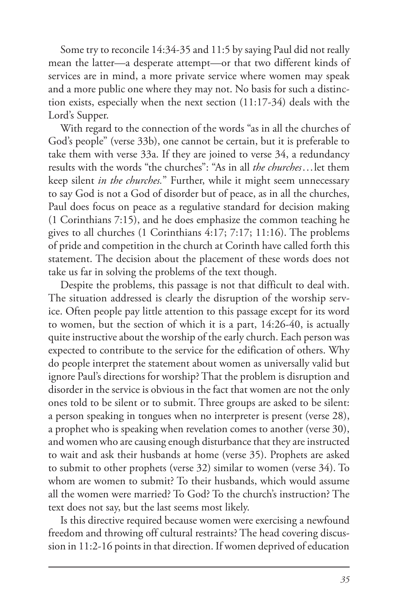Some try to reconcile 14:34-35 and 11:5 by saying Paul did not really mean the latter—a desperate attempt—or that two different kinds of services are in mind, a more private service where women may speak and a more public one where they may not. No basis for such a distinction exists, especially when the next section (11:17-34) deals with the Lord's Supper.

With regard to the connection of the words "as in all the churches of God's people" (verse 33b), one cannot be certain, but it is preferable to take them with verse 33a. If they are joined to verse 34, a redundancy results with the words "the churches": "As in all *the churches*...let them keep silent *in the churches.*" Further, while it might seem unnecessary to say God is not a God of disorder but of peace, as in all the churches, Paul does focus on peace as a regulative standard for decision making (1 Corinthians 7:15), and he does emphasize the common teaching he gives to all churches (1 Corinthians 4:17; 7:17; 11:16). The problems of pride and competition in the church at Corinth have called forth this statement. The decision about the placement of these words does not take us far in solving the problems of the text though.

Despite the problems, this passage is not that difficult to deal with. The situation addressed is clearly the disruption of the worship service. Often people pay little attention to this passage except for its word to women, but the section of which it is a part, 14:26-40, is actually quite instructive about the worship of the early church. Each person was expected to contribute to the service for the edification of others. Why do people interpret the statement about women as universally valid but ignore Paul's directions for worship? That the problem is disruption and disorder in the service is obvious in the fact that women are not the only ones told to be silent or to submit. Three groups are asked to be silent: a person speaking in tongues when no interpreter is present (verse 28), a prophet who is speaking when revelation comes to another (verse 30), and women who are causing enough disturbance that they are instructed to wait and ask their husbands at home (verse 35). Prophets are asked to submit to other prophets (verse 32) similar to women (verse 34). To whom are women to submit? To their husbands, which would assume all the women were married? To God? To the church's instruction? The text does not say, but the last seems most likely.

Is this directive required because women were exercising a newfound freedom and throwing off cultural restraints? The head covering discussion in 11:2-16 points in that direction. If women deprived of education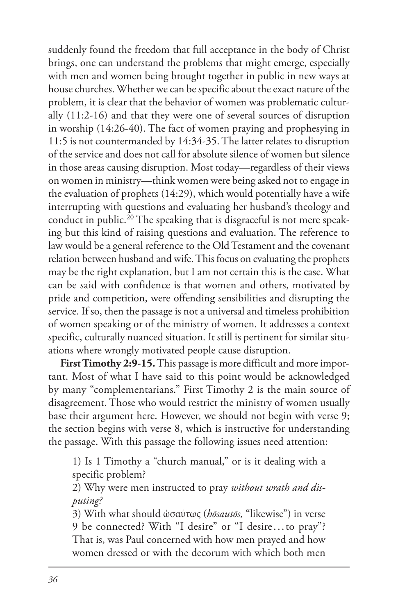suddenly found the freedom that full acceptance in the body of Christ brings, one can understand the problems that might emerge, especially with men and women being brought together in public in new ways at house churches. Whether we can be specific about the exact nature of the problem, it is clear that the behavior of women was problematic culturally (11:2-16) and that they were one of several sources of disruption in worship (14:26-40). The fact of women praying and prophesying in 11:5 is not countermanded by 14:34-35. The latter relates to disruption of the service and does not call for absolute silence of women but silence in those areas causing disruption. Most today—regardless of their views on women in ministry—think women were being asked not to engage in the evaluation of prophets (14:29), which would potentially have a wife interrupting with questions and evaluating her husband's theology and conduct in public.<sup>20</sup> The speaking that is disgraceful is not mere speaking but this kind of raising questions and evaluation. The reference to law would be a general reference to the Old Testament and the covenant relation between husband and wife. This focus on evaluating the prophets may be the right explanation, but I am not certain this is the case. What can be said with confidence is that women and others, motivated by pride and competition, were offending sensibilities and disrupting the service. If so, then the passage is not a universal and timeless prohibition of women speaking or of the ministry of women. It addresses a context specific, culturally nuanced situation. It still is pertinent for similar situations where wrongly motivated people cause disruption.

**First Timothy 2:9-15.** This passage is more difficult and more important. Most of what I have said to this point would be acknowledged by many "complementarians." First Timothy 2 is the main source of disagreement. Those who would restrict the ministry of women usually base their argument here. However, we should not begin with verse 9; the section begins with verse 8, which is instructive for understanding the passage. With this passage the following issues need attention:

1) Is 1 Timothy a "church manual," or is it dealing with a specific problem?

2) Why were men instructed to pray *without wrath and disputing?*

3) With what should ὡσαύτως (*hōsautōs,* "likewise") in verse 9 be connected? With "I desire" or "I desire...to pray"? That is, was Paul concerned with how men prayed and how women dressed or with the decorum with which both men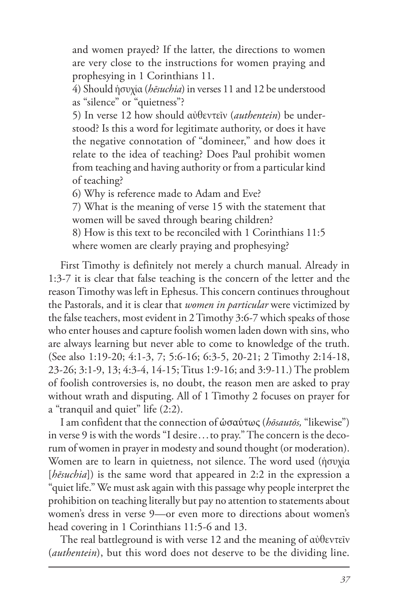and women prayed? If the latter, the directions to women are very close to the instructions for women praying and prophesying in 1 Corinthians 11.

4) Should ἡσυχία (*hēsuchia*) in verses 11 and 12 be understood as "silence" or "quietness"?

5) In verse 12 how should αὐθεντεῖν (*authentein*) be understood? Is this a word for legitimate authority, or does it have the negative connotation of "domineer," and how does it relate to the idea of teaching? Does Paul prohibit women from teaching and having authority or from a particular kind of teaching?

6) Why is reference made to Adam and Eve?

7) What is the meaning of verse 15 with the statement that women will be saved through bearing children?

8) How is this text to be reconciled with 1 Corinthians 11:5 where women are clearly praying and prophesying?

First Timothy is definitely not merely a church manual. Already in 1:3-7 it is clear that false teaching is the concern of the letter and the reason Timothy was left in Ephesus. This concern continues throughout the Pastorals, and it is clear that *women in particular* were victimized by the false teachers, most evident in 2 Timothy 3:6-7 which speaks of those who enter houses and capture foolish women laden down with sins, who are always learning but never able to come to knowledge of the truth. (See also 1:19-20; 4:1-3, 7; 5:6-16; 6:3-5, 20-21; 2 Timothy 2:14-18, 23-26; 3:1-9, 13; 4:3-4, 14-15; Titus 1:9-16; and 3:9-11.) The problem of foolish controversies is, no doubt, the reason men are asked to pray without wrath and disputing. All of 1 Timothy 2 focuses on prayer for a "tranquil and quiet" life (2:2).

I am confident that the connection of ὡσαύτως (*hōsautōs,* "likewise") in verse 9 is with the words "I desire...to pray." The concern is the decorum of women in prayer in modesty and sound thought (or moderation). Women are to learn in quietness, not silence. The word used (ἡσυχία [*hēsuchia*]) is the same word that appeared in 2:2 in the expression a "quiet life." We must ask again with this passage why people interpret the prohibition on teaching literally but pay no attention to statements about women's dress in verse 9—or even more to directions about women's head covering in 1 Corinthians 11:5-6 and 13.

The real battleground is with verse 12 and the meaning of αὐθεντεῖν (*authentein*), but this word does not deserve to be the dividing line.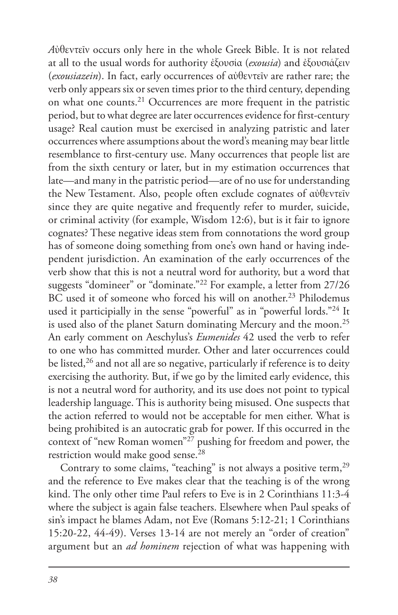*A*ὐθεντεῖν occurs only here in the whole Greek Bible. It is not related at all to the usual words for authority ἐξουσία (*exousia*) and ἐξουσιάζειν (*exousiazein*). In fact, early occurrences of αὐθεντεῖν are rather rare; the verb only appears six or seven times prior to the third century, depending on what one counts.21 Occurrences are more frequent in the patristic period, but to what degree are later occurrences evidence for first-century usage? Real caution must be exercised in analyzing patristic and later occurrences where assumptions about the word's meaning may bear little resemblance to first-century use. Many occurrences that people list are from the sixth century or later, but in my estimation occurrences that late—and many in the patristic period—are of no use for understanding the New Testament. Also, people often exclude cognates of αὐθεντεῖν since they are quite negative and frequently refer to murder, suicide, or criminal activity (for example, Wisdom 12:6), but is it fair to ignore cognates? These negative ideas stem from connotations the word group has of someone doing something from one's own hand or having independent jurisdiction. An examination of the early occurrences of the verb show that this is not a neutral word for authority, but a word that suggests "domineer" or "dominate."22 For example, a letter from 27/26 BC used it of someone who forced his will on another.<sup>23</sup> Philodemus used it participially in the sense "powerful" as in "powerful lords."<sup>24</sup> It is used also of the planet Saturn dominating Mercury and the moon.25 An early comment on Aeschylus's *Eumenides* 42 used the verb to refer to one who has committed murder. Other and later occurrences could be listed,<sup>26</sup> and not all are so negative, particularly if reference is to deity exercising the authority. But, if we go by the limited early evidence, this is not a neutral word for authority, and its use does not point to typical leadership language. This is authority being misused. One suspects that the action referred to would not be acceptable for men either. What is being prohibited is an autocratic grab for power. If this occurred in the context of "new Roman women"27 pushing for freedom and power, the restriction would make good sense.<sup>28</sup>

Contrary to some claims, "teaching" is not always a positive term,<sup>29</sup> and the reference to Eve makes clear that the teaching is of the wrong kind. The only other time Paul refers to Eve is in 2 Corinthians 11:3-4 where the subject is again false teachers. Elsewhere when Paul speaks of sin's impact he blames Adam, not Eve (Romans 5:12-21; 1 Corinthians 15:20-22, 44-49). Verses 13-14 are not merely an "order of creation" argument but an *ad hominem* rejection of what was happening with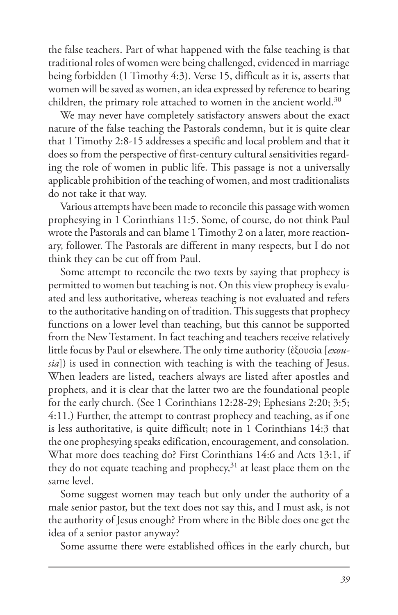the false teachers. Part of what happened with the false teaching is that traditional roles of women were being challenged, evidenced in marriage being forbidden (1 Timothy 4:3). Verse 15, difficult as it is, asserts that women will be saved as women, an idea expressed by reference to bearing children, the primary role attached to women in the ancient world.<sup>30</sup>

We may never have completely satisfactory answers about the exact nature of the false teaching the Pastorals condemn, but it is quite clear that 1 Timothy 2:8-15 addresses a specific and local problem and that it does so from the perspective of first-century cultural sensitivities regarding the role of women in public life. This passage is not a universally applicable prohibition of the teaching of women, and most traditionalists do not take it that way.

Various attempts have been made to reconcile this passage with women prophesying in 1 Corinthians 11:5. Some, of course, do not think Paul wrote the Pastorals and can blame 1 Timothy 2 on a later, more reactionary, follower. The Pastorals are different in many respects, but I do not think they can be cut off from Paul.

Some attempt to reconcile the two texts by saying that prophecy is permitted to women but teaching is not. On this view prophecy is evaluated and less authoritative, whereas teaching is not evaluated and refers to the authoritative handing on of tradition. This suggests that prophecy functions on a lower level than teaching, but this cannot be supported from the New Testament. In fact teaching and teachers receive relatively little focus by Paul or elsewhere. The only time authority (ἐξουσία [*exousia*]) is used in connection with teaching is with the teaching of Jesus. When leaders are listed, teachers always are listed after apostles and prophets, and it is clear that the latter two are the foundational people for the early church. (See 1 Corinthians 12:28-29; Ephesians 2:20; 3:5; 4:11.) Further, the attempt to contrast prophecy and teaching, as if one is less authoritative, is quite difficult; note in 1 Corinthians 14:3 that the one prophesying speaks edification, encouragement, and consolation. What more does teaching do? First Corinthians 14:6 and Acts 13:1, if they do not equate teaching and prophecy,<sup>31</sup> at least place them on the same level.

Some suggest women may teach but only under the authority of a male senior pastor, but the text does not say this, and I must ask, is not the authority of Jesus enough? From where in the Bible does one get the idea of a senior pastor anyway?

Some assume there were established offices in the early church, but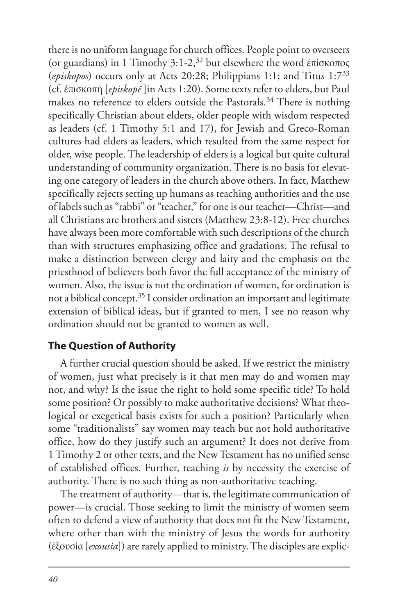there is no uniform language for church offices. People point to overseers (or guardians) in 1 Timothy 3:1-2,<sup>32</sup> but elsewhere the word ἐπίσκοπος (*episkopos*) occurs only at Acts 20:28; Philippians 1:1; and Titus 1:733 (cf. ἐπισκοπή [*episkopē* ]in Acts 1:20). Some texts refer to elders, but Paul makes no reference to elders outside the Pastorals.<sup>34</sup> There is nothing specifically Christian about elders, older people with wisdom respected as leaders (cf. 1 Timothy 5:1 and 17), for Jewish and Greco-Roman cultures had elders as leaders, which resulted from the same respect for older, wise people. The leadership of elders is a logical but quite cultural understanding of community organization. There is no basis for elevating one category of leaders in the church above others. In fact, Matthew specifically rejects setting up humans as teaching authorities and the use of labels such as "rabbi" or "teacher," for one is our teacher—Christ—and all Christians are brothers and sisters (Matthew 23:8-12). Free churches have always been more comfortable with such descriptions of the church than with structures emphasizing office and gradations. The refusal to make a distinction between clergy and laity and the emphasis on the priesthood of believers both favor the full acceptance of the ministry of women. Also, the issue is not the ordination of women, for ordination is not a biblical concept.35 I consider ordination an important and legitimate extension of biblical ideas, but if granted to men, I see no reason why ordination should not be granted to women as well.

## **The Question of Authority**

A further crucial question should be asked. If we restrict the ministry of women, just what precisely is it that men may do and women may not, and why? Is the issue the right to hold some specific title? To hold some position? Or possibly to make authoritative decisions? What theological or exegetical basis exists for such a position? Particularly when some "traditionalists" say women may teach but not hold authoritative office, how do they justify such an argument? It does not derive from 1 Timothy 2 or other texts, and the New Testament has no unified sense of established offices. Further, teaching *is* by necessity the exercise of authority. There is no such thing as non-authoritative teaching.

The treatment of authority—that is, the legitimate communication of power—is crucial. Those seeking to limit the ministry of women seem often to defend a view of authority that does not fit the New Testament, where other than with the ministry of Jesus the words for authority (ἐξουσία [*exousia*]) are rarely applied to ministry. The disciples are explic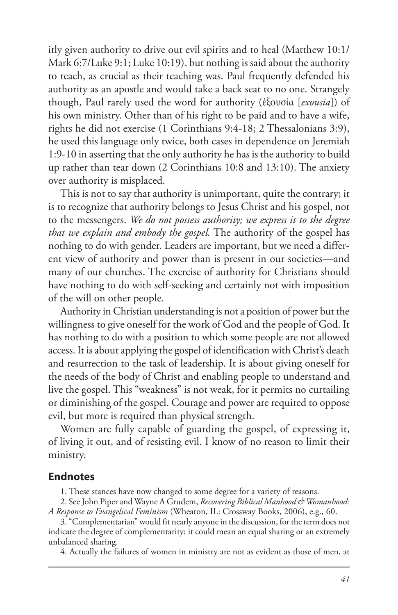itly given authority to drive out evil spirits and to heal (Matthew 10:1/ Mark 6:7/Luke 9:1; Luke 10:19), but nothing is said about the authority to teach, as crucial as their teaching was. Paul frequently defended his authority as an apostle and would take a back seat to no one. Strangely though, Paul rarely used the word for authority (ἐξουσία [*exousia*]) of his own ministry. Other than of his right to be paid and to have a wife, rights he did not exercise (1 Corinthians 9:4-18; 2 Thessalonians 3:9), he used this language only twice, both cases in dependence on Jeremiah 1:9-10 in asserting that the only authority he has is the authority to build up rather than tear down (2 Corinthians 10:8 and 13:10). The anxiety over authority is misplaced.

This is not to say that authority is unimportant, quite the contrary; it is to recognize that authority belongs to Jesus Christ and his gospel, not to the messengers. *We do not possess authority; we express it to the degree that we explain and embody the gospel.* The authority of the gospel has nothing to do with gender. Leaders are important, but we need a different view of authority and power than is present in our societies—and many of our churches. The exercise of authority for Christians should have nothing to do with self-seeking and certainly not with imposition of the will on other people.

Authority in Christian understanding is not a position of power but the willingness to give oneself for the work of God and the people of God. It has nothing to do with a position to which some people are not allowed access. It is about applying the gospel of identification with Christ's death and resurrection to the task of leadership. It is about giving oneself for the needs of the body of Christ and enabling people to understand and live the gospel. This "weakness" is not weak, for it permits no curtailing or diminishing of the gospel. Courage and power are required to oppose evil, but more is required than physical strength.

Women are fully capable of guarding the gospel, of expressing it, of living it out, and of resisting evil. I know of no reason to limit their ministry.

#### **Endnotes**

1. These stances have now changed to some degree for a variety of reasons.

2. See John Piper and Wayne A Grudem, *Recovering Biblical Manhood & Womanhood: A Response to Evangelical Feminism* (Wheaton, IL: Crossway Books, 2006), e.g., 60.

3. "Complementarian" would fit nearly anyone in the discussion, for the term does not indicate the degree of complementarity; it could mean an equal sharing or an extremely unbalanced sharing.

4. Actually the failures of women in ministry are not as evident as those of men, at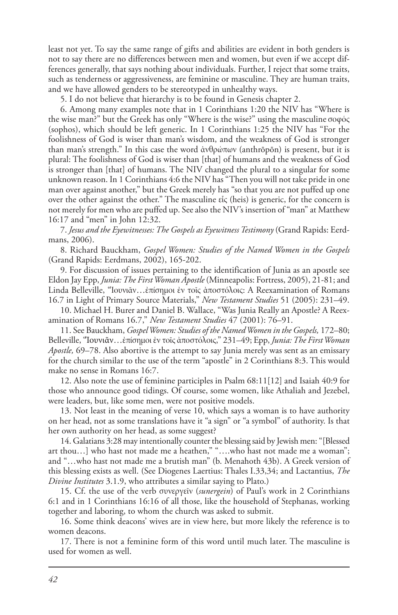least not yet. To say the same range of gifts and abilities are evident in both genders is not to say there are no differences between men and women, but even if we accept differences generally, that says nothing about individuals. Further, I reject that some traits, such as tenderness or aggressiveness, are feminine or masculine. They are human traits, and we have allowed genders to be stereotyped in unhealthy ways.

5. I do not believe that hierarchy is to be found in Genesis chapter 2.

6. Among many examples note that in 1 Corinthians 1:20 the NIV has "Where is the wise man?" but the Greek has only "Where is the wise?" using the masculine σοφός (sophos), which should be left generic. In 1 Corinthians 1:25 the NIV has "For the foolishness of God is wiser than man's wisdom, and the weakness of God is stronger than man's strength." In this case the word ἀνθρώπων (anthrōpōn) is present, but it is plural: The foolishness of God is wiser than [that] of humans and the weakness of God is stronger than [that] of humans. The NIV changed the plural to a singular for some unknown reason. In 1 Corinthians 4:6 the NIV has "Then you will not take pride in one man over against another," but the Greek merely has "so that you are not puffed up one over the other against the other." The masculine εἷς (heis) is generic, for the concern is not merely for men who are puffed up. See also the NIV's insertion of "man" at Matthew 16:17 and "men" in John 12:32.

7. *Jesus and the Eyewitnesses: The Gospels as Eyewitness Testimony* (Grand Rapids: Eerdmans, 2006).

8. Richard Bauckham, *Gospel Women: Studies of the Named Women in the Gospels* (Grand Rapids: Eerdmans, 2002), 165-202.

9. For discussion of issues pertaining to the identification of Junia as an apostle see Eldon Jay Epp, *Junia: The First Woman Apostle* (Minneapolis: Fortress, 2005), 21-81; and Linda Belleville, "Ἰουνιᾶν…ἐπίσημοι ἐν τοῖς ἀποστόλοις: A Reexamination of Romans 16.7 in Light of Primary Source Materials," *New Testament Studies* 51 (2005): 231–49.

10. Michael H. Burer and Daniel B. Wallace, "Was Junia Really an Apostle? A Reexamination of Romans 16.7," *New Testament Studies* 47 (2001): 76–91.

11. See Bauckham, *Gospel Women: Studies of the Named Women in the Gospels,* 172–80; Belleville, "Ἰουνιᾶν…ἐπίσημοι ἐν τοῖς ἀποστόλοις," 231–49; Epp, *Junia: The First Woman Apostle,* 69–78. Also abortive is the attempt to say Junia merely was sent as an emissary for the church similar to the use of the term "apostle" in 2 Corinthians 8:3. This would make no sense in Romans 16:7.

12. Also note the use of feminine participles in Psalm 68:11[12] and Isaiah 40:9 for those who announce good tidings. Of course, some women, like Athaliah and Jezebel, were leaders, but, like some men, were not positive models.

13. Not least in the meaning of verse 10, which says a woman is to have authority on her head, not as some translations have it "a sign" or "a symbol" of authority. Is that her own authority on her head, as some suggest?

14. Galatians 3:28 may intentionally counter the blessing said by Jewish men: "[Blessed art thou…] who hast not made me a heathen," "….who hast not made me a woman"; and "…who hast not made me a brutish man" (b. Menahoth 43b). A Greek version of this blessing exists as well. (See Diogenes Laertius: Thales I.33,34; and Lactantius, *The Divine Institutes* 3.1.9, who attributes a similar saying to Plato.)

15. Cf. the use of the verb συνεργεῖν (*sunergein*) of Paul's work in 2 Corinthians 6:1 and in 1 Corinthians 16:16 of all those, like the household of Stephanas, working together and laboring, to whom the church was asked to submit.

16. Some think deacons' wives are in view here, but more likely the reference is to women deacons.

17. There is not a feminine form of this word until much later. The masculine is used for women as well.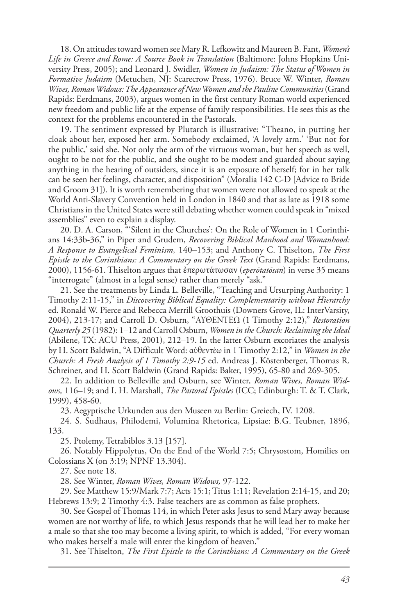18. On attitudes toward women see Mary R. Lefkowitz and Maureen B. Fant, *Women's Life in Greece and Rome: A Source Book in Translation* (Baltimore: Johns Hopkins University Press, 2005); and Leonard J. Swidler, *Women in Judaism: The Status of Women in Formative Judaism* (Metuchen, NJ: Scarecrow Press, 1976). Bruce W. Winter, *Roman Wives, Roman Widows: The Appearance of New Women and the Pauline Communities* (Grand Rapids: Eerdmans, 2003), argues women in the first century Roman world experienced new freedom and public life at the expense of family responsibilities. He sees this as the context for the problems encountered in the Pastorals.

19. The sentiment expressed by Plutarch is illustrative: "Theano, in putting her cloak about her, exposed her arm. Somebody exclaimed, 'A lovely arm.' 'But not for the public,' said she. Not only the arm of the virtuous woman, but her speech as well, ought to be not for the public, and she ought to be modest and guarded about saying anything in the hearing of outsiders, since it is an exposure of herself; for in her talk can be seen her feelings, character, and disposition" (Moralia 142 C-D [Advice to Bride and Groom 31]). It is worth remembering that women were not allowed to speak at the World Anti-Slavery Convention held in London in 1840 and that as late as 1918 some Christians in the United States were still debating whether women could speak in "mixed assemblies" even to explain a display.

20. D. A. Carson, "'Silent in the Churches': On the Role of Women in 1 Corinthians 14:33b-36," in Piper and Grudem, *Recovering Biblical Manhood and Womanhood: A Response to Evangelical Feminism,* 140–153; and Anthony C. Thiselton, *The First Epistle to the Corinthians: A Commentary on the Greek Text* (Grand Rapids: Eerdmans, 2000), 1156-61. Thiselton argues that ἐπερωτάτωσαν (*eperōtatōsan*) in verse 35 means "interrogate" (almost in a legal sense) rather than merely "ask."

21. See the treatments by Linda L. Belleville, "Teaching and Ursurping Authority: 1 Timothy 2:11-15," in *Discovering Biblical Equality: Complementarity without Hierarchy* ed. Ronald W. Pierce and Rebecca Merrill Groothuis (Downers Grove, IL: InterVarsity, 2004), 213-17; and Carroll D. Osburn, "ΑΥΘΕΝΤΕΩ (1 Timothy 2:12)," *Restoration Quarterly 25* (1982): 1–12 and Carroll Osburn, *Women in the Church: Reclaiming the Ideal* (Abilene, TX: ACU Press, 2001), 212–19. In the latter Osburn excoriates the analysis by H. Scott Baldwin, "A Difficult Word: αὐθεντέω in 1 Timothy 2:12," in *Women in the Church: A Fresh Analysis of 1 Timothy 2:9-15* ed. Andreas J. Köstenberger, Thomas R. Schreiner, and H. Scott Baldwin (Grand Rapids: Baker, 1995), 65-80 and 269-305.

22. In addition to Belleville and Osburn, see Winter*, Roman Wives, Roman Widows,* 116–19; and I. H. Marshall, *The Pastoral Epistles* (ICC; Edinburgh: T. & T. Clark, 1999), 458-60.

23. Aegyptische Urkunden aus den Museen zu Berlin: Greiech, IV. 1208.

24. S. Sudhaus, Philodemi, Volumina Rhetorica, Lipsiae: B.G. Teubner, 1896, 133.

25. Ptolemy, Tetrabiblos 3.13 [157].

26. Notably Hippolytus, On the End of the World 7:5; Chrysostom, Homilies on Colossians X (on 3:19; NPNF 13.304).

27. See note 18.

28. See Winter, *Roman Wives, Roman Widows,* 97-122.

29. See Matthew 15:9/Mark 7:7; Acts 15:1; Titus 1:11; Revelation 2:14-15, and 20; Hebrews 13:9; 2 Timothy 4:3. False teachers are as common as false prophets.

30. See Gospel of Thomas 114, in which Peter asks Jesus to send Mary away because women are not worthy of life, to which Jesus responds that he will lead her to make her a male so that she too may become a living spirit, to which is added, "For every woman who makes herself a male will enter the kingdom of heaven."

31. See Thiselton, *The First Epistle to the Corinthians: A Commentary on the Greek*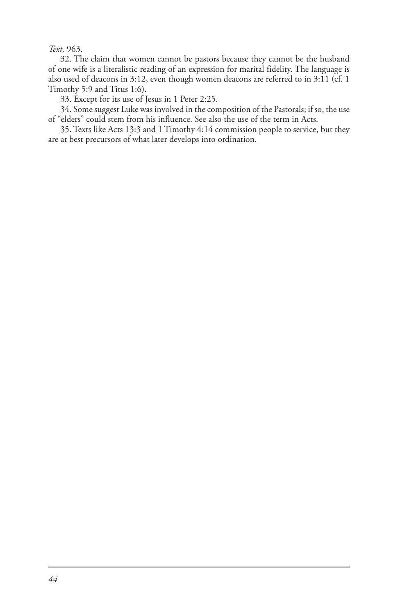#### *Text,* 963.

32. The claim that women cannot be pastors because they cannot be the husband of one wife is a literalistic reading of an expression for marital fidelity. The language is also used of deacons in 3:12, even though women deacons are referred to in 3:11 (cf. 1 Timothy 5:9 and Titus 1:6).

33. Except for its use of Jesus in 1 Peter 2:25.

34. Some suggest Luke was involved in the composition of the Pastorals; if so, the use of "elders" could stem from his influence. See also the use of the term in Acts.

35. Texts like Acts 13:3 and 1 Timothy 4:14 commission people to service, but they are at best precursors of what later develops into ordination.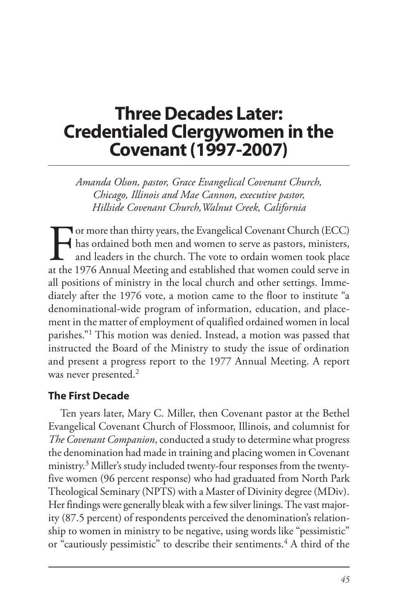## **Three Decades Later: Credentialed Clergywomen in the Covenant (1997-2007)**

*Amanda Olson, pastor, Grace Evangelical Covenant Church, Chicago, Illinois and Mae Cannon, executive pastor, Hillside Covenant Church,Walnut Creek, California*

For more than thirty years, the Evangelical Covenant Church (ECC)<br>has ordained both men and women to serve as pastors, ministers,<br>and leaders in the church. The vote to ordain women took place<br>at the 1976 Annual Meeting an has ordained both men and women to serve as pastors, ministers, and leaders in the church. The vote to ordain women took place at the 1976 Annual Meeting and established that women could serve in all positions of ministry in the local church and other settings. Immediately after the 1976 vote, a motion came to the floor to institute "a denominational-wide program of information, education, and placement in the matter of employment of qualified ordained women in local parishes."1 This motion was denied. Instead, a motion was passed that instructed the Board of the Ministry to study the issue of ordination and present a progress report to the 1977 Annual Meeting. A report was never presented.<sup>2</sup>

### **The First Decade**

Ten years later, Mary C. Miller, then Covenant pastor at the Bethel Evangelical Covenant Church of Flossmoor, Illinois, and columnist for *The Covenant Companion*, conducted a study to determine what progress the denomination had made in training and placing women in Covenant ministry.3 Miller's study included twenty-four responses from the twentyfive women (96 percent response) who had graduated from North Park Theological Seminary (NPTS) with a Master of Divinity degree (MDiv). Her findings were generally bleak with a few silver linings. The vast majority (87.5 percent) of respondents perceived the denomination's relationship to women in ministry to be negative, using words like "pessimistic" or "cautiously pessimistic" to describe their sentiments.<sup>4</sup> A third of the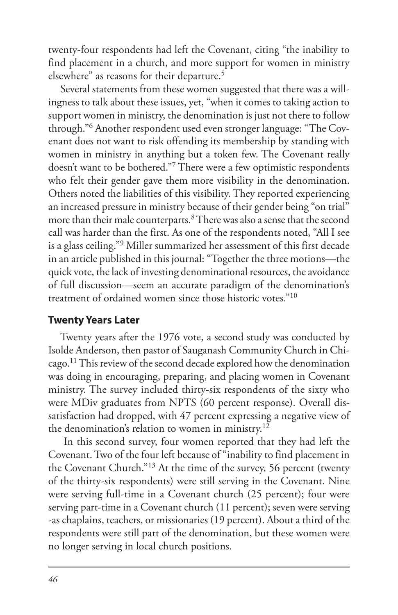twenty-four respondents had left the Covenant, citing "the inability to find placement in a church, and more support for women in ministry elsewhere" as reasons for their departure.<sup>5</sup>

Several statements from these women suggested that there was a willingness to talk about these issues, yet, "when it comes to taking action to support women in ministry, the denomination is just not there to follow through."6 Another respondent used even stronger language: "The Covenant does not want to risk offending its membership by standing with women in ministry in anything but a token few. The Covenant really doesn't want to be bothered."7 There were a few optimistic respondents who felt their gender gave them more visibility in the denomination. Others noted the liabilities of this visibility. They reported experiencing an increased pressure in ministry because of their gender being "on trial" more than their male counterparts.8 There was also a sense that the second call was harder than the first. As one of the respondents noted, "All I see is a glass ceiling."9 Miller summarized her assessment of this first decade in an article published in this journal: "Together the three motions—the quick vote, the lack of investing denominational resources, the avoidance of full discussion—seem an accurate paradigm of the denomination's treatment of ordained women since those historic votes."10

#### **Twenty Years Later**

Twenty years after the 1976 vote, a second study was conducted by Isolde Anderson, then pastor of Sauganash Community Church in Chicago.11 This review of the second decade explored how the denomination was doing in encouraging, preparing, and placing women in Covenant ministry. The survey included thirty-six respondents of the sixty who were MDiv graduates from NPTS (60 percent response). Overall dissatisfaction had dropped, with 47 percent expressing a negative view of the denomination's relation to women in ministry.<sup>12</sup>

 In this second survey, four women reported that they had left the Covenant. Two of the four left because of "inability to find placement in the Covenant Church."13 At the time of the survey, 56 percent (twenty of the thirty-six respondents) were still serving in the Covenant. Nine were serving full-time in a Covenant church (25 percent); four were serving part-time in a Covenant church (11 percent); seven were serving -as chaplains, teachers, or missionaries (19 percent). About a third of the respondents were still part of the denomination, but these women were no longer serving in local church positions.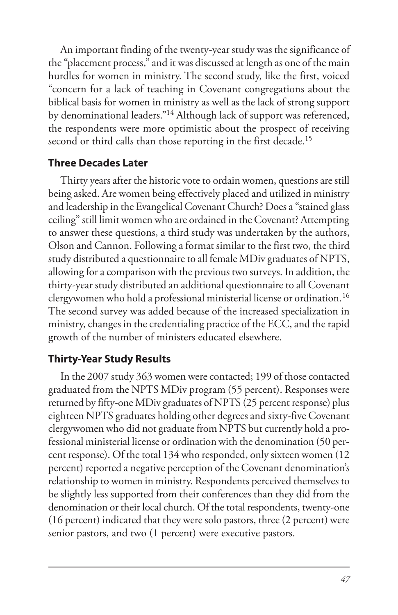An important finding of the twenty-year study was the significance of the "placement process," and it was discussed at length as one of the main hurdles for women in ministry. The second study, like the first, voiced "concern for a lack of teaching in Covenant congregations about the biblical basis for women in ministry as well as the lack of strong support by denominational leaders."14 Although lack of support was referenced, the respondents were more optimistic about the prospect of receiving second or third calls than those reporting in the first decade.<sup>15</sup>

### **Three Decades Later**

Thirty years after the historic vote to ordain women, questions are still being asked. Are women being effectively placed and utilized in ministry and leadership in the Evangelical Covenant Church? Does a "stained glass ceiling" still limit women who are ordained in the Covenant? Attempting to answer these questions, a third study was undertaken by the authors, Olson and Cannon. Following a format similar to the first two, the third study distributed a questionnaire to all female MDiv graduates of NPTS, allowing for a comparison with the previous two surveys. In addition, the thirty-year study distributed an additional questionnaire to all Covenant clergywomen who hold a professional ministerial license or ordination.16 The second survey was added because of the increased specialization in ministry, changes in the credentialing practice of the ECC, and the rapid growth of the number of ministers educated elsewhere.

## **Thirty-Year Study Results**

In the 2007 study 363 women were contacted; 199 of those contacted graduated from the NPTS MDiv program (55 percent). Responses were returned by fifty-one MDiv graduates of NPTS (25 percent response) plus eighteen NPTS graduates holding other degrees and sixty-five Covenant clergywomen who did not graduate from NPTS but currently hold a professional ministerial license or ordination with the denomination (50 percent response). Of the total 134 who responded, only sixteen women (12 percent) reported a negative perception of the Covenant denomination's relationship to women in ministry. Respondents perceived themselves to be slightly less supported from their conferences than they did from the denomination or their local church. Of the total respondents, twenty-one (16 percent) indicated that they were solo pastors, three (2 percent) were senior pastors, and two (1 percent) were executive pastors.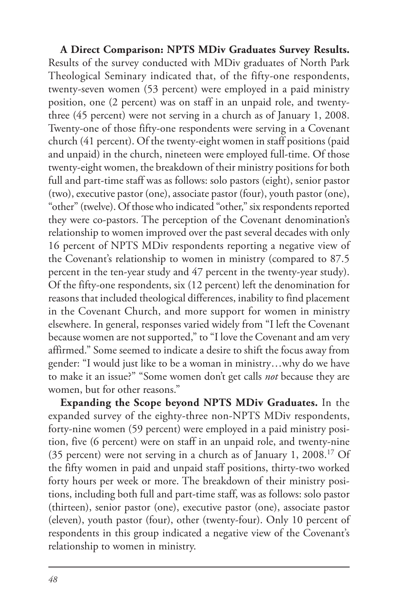**A Direct Comparison: NPTS MDiv Graduates Survey Results.**  Results of the survey conducted with MDiv graduates of North Park Theological Seminary indicated that, of the fifty-one respondents, twenty-seven women (53 percent) were employed in a paid ministry position, one (2 percent) was on staff in an unpaid role, and twentythree (45 percent) were not serving in a church as of January 1, 2008. Twenty-one of those fifty-one respondents were serving in a Covenant church (41 percent). Of the twenty-eight women in staff positions (paid and unpaid) in the church, nineteen were employed full-time. Of those twenty-eight women, the breakdown of their ministry positions for both full and part-time staff was as follows: solo pastors (eight), senior pastor (two), executive pastor (one), associate pastor (four), youth pastor (one), "other" (twelve). Of those who indicated "other," six respondents reported they were co-pastors. The perception of the Covenant denomination's relationship to women improved over the past several decades with only 16 percent of NPTS MDiv respondents reporting a negative view of the Covenant's relationship to women in ministry (compared to 87.5 percent in the ten-year study and 47 percent in the twenty-year study). Of the fifty-one respondents, six (12 percent) left the denomination for reasons that included theological differences, inability to find placement in the Covenant Church, and more support for women in ministry elsewhere. In general, responses varied widely from "I left the Covenant because women are not supported," to "I love the Covenant and am very affirmed." Some seemed to indicate a desire to shift the focus away from gender: "I would just like to be a woman in ministry…why do we have to make it an issue?" "Some women don't get calls *not* because they are women, but for other reasons."

**Expanding the Scope beyond NPTS MDiv Graduates.** In the expanded survey of the eighty-three non-NPTS MDiv respondents, forty-nine women (59 percent) were employed in a paid ministry position, five (6 percent) were on staff in an unpaid role, and twenty-nine (35 percent) were not serving in a church as of January 1, 2008.17 Of the fifty women in paid and unpaid staff positions, thirty-two worked forty hours per week or more. The breakdown of their ministry positions, including both full and part-time staff, was as follows: solo pastor (thirteen), senior pastor (one), executive pastor (one), associate pastor (eleven), youth pastor (four), other (twenty-four). Only 10 percent of respondents in this group indicated a negative view of the Covenant's relationship to women in ministry.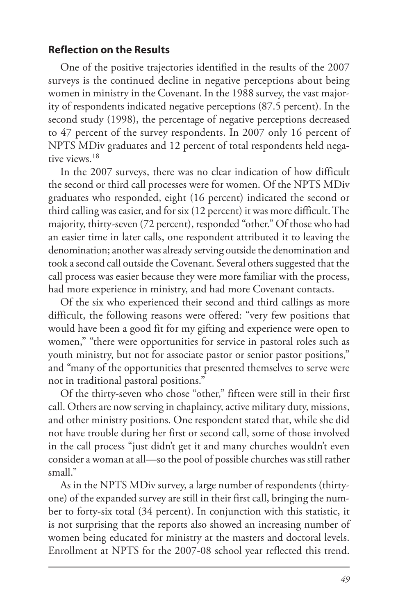#### **Reflection on the Results**

One of the positive trajectories identified in the results of the 2007 surveys is the continued decline in negative perceptions about being women in ministry in the Covenant. In the 1988 survey, the vast majority of respondents indicated negative perceptions (87.5 percent). In the second study (1998), the percentage of negative perceptions decreased to 47 percent of the survey respondents. In 2007 only 16 percent of NPTS MDiv graduates and 12 percent of total respondents held negative views.18

In the 2007 surveys, there was no clear indication of how difficult the second or third call processes were for women. Of the NPTS MDiv graduates who responded, eight (16 percent) indicated the second or third calling was easier, and for six (12 percent) it was more difficult. The majority, thirty-seven (72 percent), responded "other." Of those who had an easier time in later calls, one respondent attributed it to leaving the denomination; another was already serving outside the denomination and took a second call outside the Covenant. Several others suggested that the call process was easier because they were more familiar with the process, had more experience in ministry, and had more Covenant contacts.

Of the six who experienced their second and third callings as more difficult, the following reasons were offered: "very few positions that would have been a good fit for my gifting and experience were open to women," "there were opportunities for service in pastoral roles such as youth ministry, but not for associate pastor or senior pastor positions," and "many of the opportunities that presented themselves to serve were not in traditional pastoral positions."

Of the thirty-seven who chose "other," fifteen were still in their first call. Others are now serving in chaplaincy, active military duty, missions, and other ministry positions. One respondent stated that, while she did not have trouble during her first or second call, some of those involved in the call process "just didn't get it and many churches wouldn't even consider a woman at all—so the pool of possible churches was still rather small."

As in the NPTS MDiv survey, a large number of respondents (thirtyone) of the expanded survey are still in their first call, bringing the number to forty-six total (34 percent). In conjunction with this statistic, it is not surprising that the reports also showed an increasing number of women being educated for ministry at the masters and doctoral levels. Enrollment at NPTS for the 2007-08 school year reflected this trend.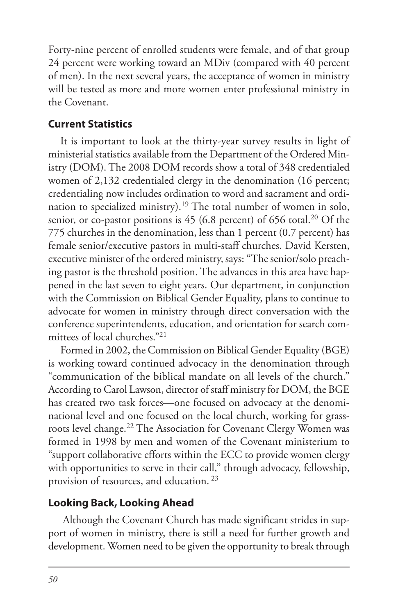Forty-nine percent of enrolled students were female, and of that group 24 percent were working toward an MDiv (compared with 40 percent of men). In the next several years, the acceptance of women in ministry will be tested as more and more women enter professional ministry in the Covenant.

## **Current Statistics**

It is important to look at the thirty-year survey results in light of ministerial statistics available from the Department of the Ordered Ministry (DOM). The 2008 DOM records show a total of 348 credentialed women of 2,132 credentialed clergy in the denomination (16 percent; credentialing now includes ordination to word and sacrament and ordination to specialized ministry).19 The total number of women in solo, senior, or co-pastor positions is  $45$  (6.8 percent) of 656 total.<sup>20</sup> Of the 775 churches in the denomination, less than 1 percent (0.7 percent) has female senior/executive pastors in multi-staff churches. David Kersten, executive minister of the ordered ministry, says: "The senior/solo preaching pastor is the threshold position. The advances in this area have happened in the last seven to eight years. Our department, in conjunction with the Commission on Biblical Gender Equality, plans to continue to advocate for women in ministry through direct conversation with the conference superintendents, education, and orientation for search committees of local churches."21

Formed in 2002, the Commission on Biblical Gender Equality (BGE) is working toward continued advocacy in the denomination through "communication of the biblical mandate on all levels of the church." According to Carol Lawson, director of staff ministry for DOM, the BGE has created two task forces—one focused on advocacy at the denominational level and one focused on the local church, working for grassroots level change.22 The Association for Covenant Clergy Women was formed in 1998 by men and women of the Covenant ministerium to "support collaborative efforts within the ECC to provide women clergy with opportunities to serve in their call," through advocacy, fellowship, provision of resources, and education. <sup>23</sup>

## **Looking Back, Looking Ahead**

 Although the Covenant Church has made significant strides in support of women in ministry, there is still a need for further growth and development. Women need to be given the opportunity to break through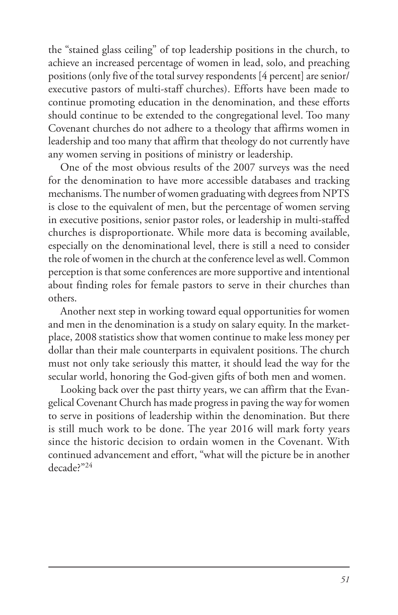the "stained glass ceiling" of top leadership positions in the church, to achieve an increased percentage of women in lead, solo, and preaching positions (only five of the total survey respondents [4 percent] are senior/ executive pastors of multi-staff churches). Efforts have been made to continue promoting education in the denomination, and these efforts should continue to be extended to the congregational level. Too many Covenant churches do not adhere to a theology that affirms women in leadership and too many that affirm that theology do not currently have any women serving in positions of ministry or leadership.

One of the most obvious results of the 2007 surveys was the need for the denomination to have more accessible databases and tracking mechanisms. The number of women graduating with degrees from NPTS is close to the equivalent of men, but the percentage of women serving in executive positions, senior pastor roles, or leadership in multi-staffed churches is disproportionate. While more data is becoming available, especially on the denominational level, there is still a need to consider the role of women in the church at the conference level as well. Common perception is that some conferences are more supportive and intentional about finding roles for female pastors to serve in their churches than others.

Another next step in working toward equal opportunities for women and men in the denomination is a study on salary equity. In the marketplace, 2008 statistics show that women continue to make less money per dollar than their male counterparts in equivalent positions. The church must not only take seriously this matter, it should lead the way for the secular world, honoring the God-given gifts of both men and women.

Looking back over the past thirty years, we can affirm that the Evangelical Covenant Church has made progress in paving the way for women to serve in positions of leadership within the denomination. But there is still much work to be done. The year 2016 will mark forty years since the historic decision to ordain women in the Covenant. With continued advancement and effort, "what will the picture be in another decade?"24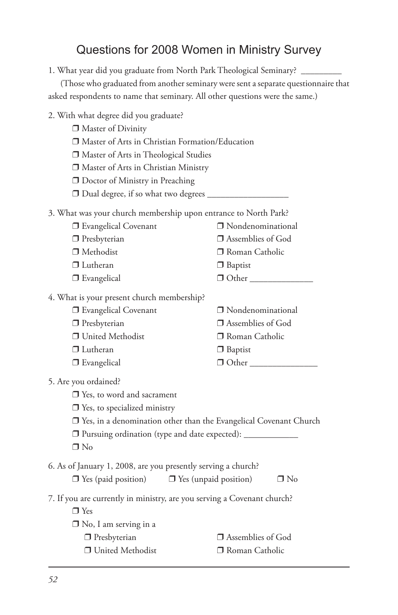## Questions for 2008 Women in Ministry Survey

1. What year did you graduate from North Park Theological Seminary? \_\_\_\_\_\_\_\_\_

|                                                               | (Those who graduated from another seminary were sent a separate questionnaire that |
|---------------------------------------------------------------|------------------------------------------------------------------------------------|
|                                                               | asked respondents to name that seminary. All other questions were the same.)       |
| 2. With what degree did you graduate?                         |                                                                                    |
| □ Master of Divinity                                          |                                                                                    |
|                                                               | □ Master of Arts in Christian Formation/Education                                  |
| Master of Arts in Theological Studies                         |                                                                                    |
| □ Master of Arts in Christian Ministry                        |                                                                                    |
| □ Doctor of Ministry in Preaching                             |                                                                                    |
| □ Dual degree, if so what two degrees ____                    |                                                                                    |
|                                                               | 3. What was your church membership upon entrance to North Park?                    |
| <b>J</b> Evangelical Covenant                                 | □ Nondenominational                                                                |
| $\Box$ Presbyterian                                           | $\Box$ Assemblies of God                                                           |
| $\Box$ Methodist                                              | □ Roman Catholic                                                                   |
| $\Box$ Lutheran                                               | □ Baptist                                                                          |
| □ Evangelical                                                 | $\Box$ Other                                                                       |
| 4. What is your present church membership?                    |                                                                                    |
| <b>J</b> Evangelical Covenant                                 | □ Nondenominational                                                                |
| $\Box$ Presbyterian                                           | □ Assemblies of God                                                                |
| □ United Methodist                                            | □ Roman Catholic                                                                   |
| $\Box$ Lutheran                                               | $\Box$ Baptist                                                                     |
| $\Box$ Evangelical                                            | $\Box$ Other                                                                       |
|                                                               |                                                                                    |
| 5. Are you ordained?                                          |                                                                                    |
| $\Box$ Yes, to word and sacrament                             |                                                                                    |
| $\Box$ Yes, to specialized ministry                           |                                                                                    |
|                                                               | $\Box$ Yes, in a denomination other than the Evangelical Covenant Church           |
| $\Box$ No                                                     | □ Pursuing ordination (type and date expected): ________________________________   |
|                                                               |                                                                                    |
| 6. As of January 1, 2008, are you presently serving a church? |                                                                                    |
| $\Box$ Yes (paid position) $\Box$ Yes (unpaid position)       | $\Box$ No                                                                          |
|                                                               | 7. If you are currently in ministry, are you serving a Covenant church?            |
| $\Box$ Yes                                                    |                                                                                    |
| $\Box$ No, I am serving in a                                  |                                                                                    |
| $\Box$ Presbyterian                                           | □ Assemblies of God                                                                |
| □ United Methodist                                            | □ Roman Catholic                                                                   |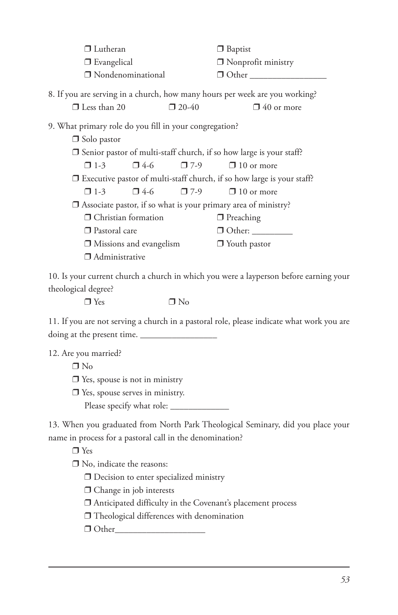| $\Box$ Lutheran                                                               |                          | $\Box$ Baptist                                                              |  |  |
|-------------------------------------------------------------------------------|--------------------------|-----------------------------------------------------------------------------|--|--|
| $\Box$ Evangelical                                                            |                          | $\Box$ Nonprofit ministry                                                   |  |  |
| □ Nondenominational                                                           |                          |                                                                             |  |  |
|                                                                               |                          | 8. If you are serving in a church, how many hours per week are you working? |  |  |
| $\Box$ Less than 20                                                           | $\Box$ 20-40             | $\Box$ 40 or more                                                           |  |  |
| 9. What primary role do you fill in your congregation?<br>$\Box$ Solo pastor  |                          |                                                                             |  |  |
| $\Box$ Senior pastor of multi-staff church, if so how large is your staff?    |                          |                                                                             |  |  |
| $\Box$ 1-3                                                                    | $\Box$ 4-6<br>$\Box$ 7-9 | $\Box$ 10 or more                                                           |  |  |
| $\Box$ Executive pastor of multi-staff church, if so how large is your staff? |                          |                                                                             |  |  |
| $\Box$ 1-3                                                                    | $\Box$ 4-6<br>$\Box$ 7-9 | $\Box$ 10 or more                                                           |  |  |
|                                                                               |                          | $\Box$ Associate pastor, if so what is your primary area of ministry?       |  |  |
| □ Christian formation                                                         |                          | $\Box$ Preaching                                                            |  |  |
| □ Pastoral care                                                               |                          | $\Box$ Other: $\Box$                                                        |  |  |
| $\Box$ Missions and evangelism                                                |                          | $\Box$ Youth pastor                                                         |  |  |
| $\Box$ Administrative                                                         |                          |                                                                             |  |  |
| $A \cap T$                                                                    |                          |                                                                             |  |  |

10. Is your current church a church in which you were a layperson before earning your theological degree?

 $\square$  Yes  $\square$  No

11. If you are not serving a church in a pastoral role, please indicate what work you are doing at the present time.

12. Are you married?

❒ No

- ❒ Yes, spouse is not in ministry
- ❒ Yes, spouse serves in ministry.
	- Please specify what role: \_\_\_\_\_\_\_\_\_\_\_\_\_

13. When you graduated from North Park Theological Seminary, did you place your name in process for a pastoral call in the denomination?

❒ Yes

❒ No, indicate the reasons:

❒ Decision to enter specialized ministry

❒ Change in job interests

❒ Anticipated difficulty in the Covenant's placement process

❒ Theological differences with denomination

❒ Other\_\_\_\_\_\_\_\_\_\_\_\_\_\_\_\_\_\_\_\_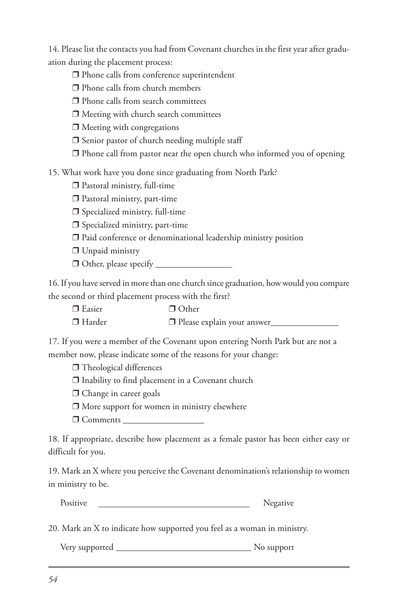14. Please list the contacts you had from Covenant churches in the first year after graduation during the placement process:

- ❒ Phone calls from conference superintendent
- ❒ Phone calls from church members
- ❒ Phone calls from search committees
- ❒ Meeting with church search committees
- ❒ Meeting with congregations
- ❒ Senior pastor of church needing multiple staff
- ❒ Phone call from pastor near the open church who informed you of opening

15. What work have you done since graduating from North Park?

- ❒ Pastoral ministry, full-time
- ❒ Pastoral ministry, part-time
- ❒ Specialized ministry, full-time
- ❒ Specialized ministry, part-time
- ❒ Paid conference or denominational leadership ministry position
- ❒ Unpaid ministry
- $\Box$  Other, please specify

16. If you have served in more than one church since graduation, how would you compare the second or third placement process with the first?

- ❒ Easier ❒ Other
- ❒ Harder ❒ Please explain your answer\_\_\_\_\_\_\_\_\_\_\_\_\_\_\_

17. If you were a member of the Covenant upon entering North Park but are not a member now, please indicate some of the reasons for your change:

❒ Theological differences

- ❒ Inability to find placement in a Covenant church
- ❒ Change in career goals
- ❒ More support for women in ministry elsewhere
- ❒ Comments \_\_\_\_\_\_\_\_\_\_\_\_\_\_\_\_\_\_

18. If appropriate, describe how placement as a female pastor has been either easy or difficult for you.

19. Mark an X where you perceive the Covenant denomination's relationship to women in ministry to be.

| Positive | Negative |
|----------|----------|
|          |          |

20. Mark an X to indicate how supported you feel as a woman in ministry.

Very supported No supported No supported No support